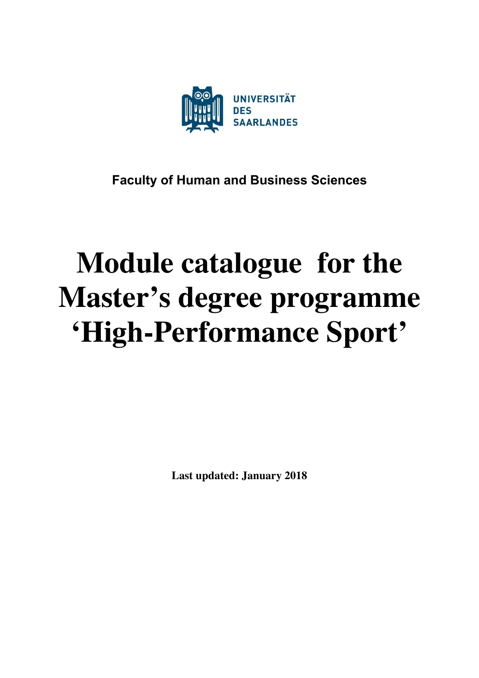

# **Faculty of Human and Business Sciences**

# **Module catalogue for the Master's degree programme 'High-Performance Sport'**

**Last updated: January 2018**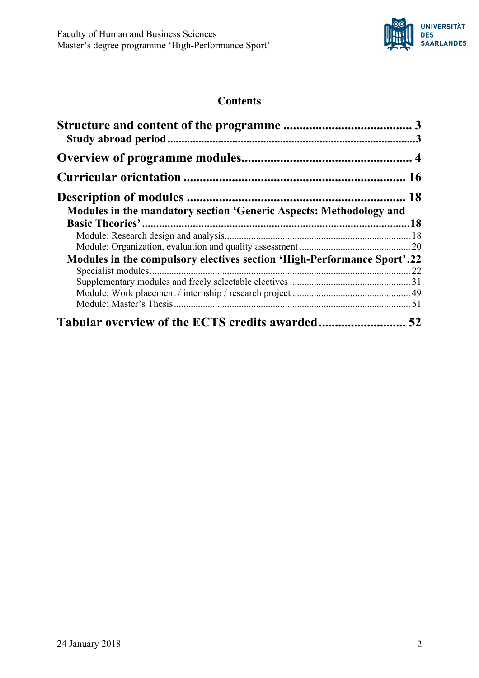

# **Contents**

| Modules in the mandatory section 'Generic Aspects: Methodology and      |  |
|-------------------------------------------------------------------------|--|
|                                                                         |  |
| Modules in the compulsory electives section 'High-Performance Sport'.22 |  |
|                                                                         |  |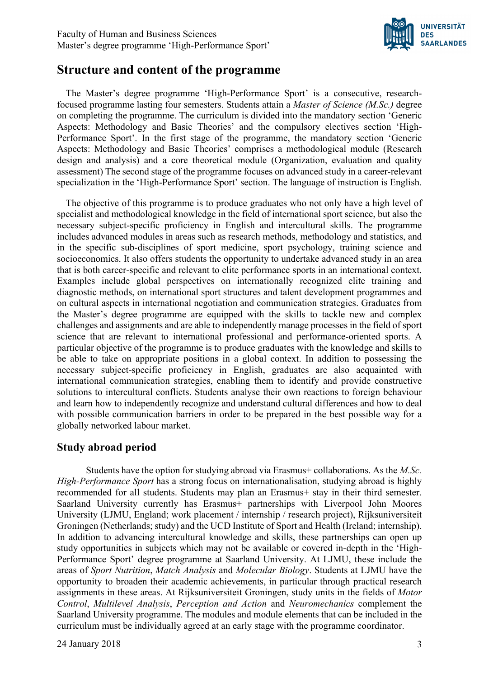

# **Structure and content of the programme**

The Master's degree programme 'High-Performance Sport' is a consecutive, researchfocused programme lasting four semesters. Students attain a *Master of Science (M.Sc.)* degree on completing the programme. The curriculum is divided into the mandatory section 'Generic Aspects: Methodology and Basic Theories' and the compulsory electives section 'High-Performance Sport'. In the first stage of the programme, the mandatory section 'Generic Aspects: Methodology and Basic Theories' comprises a methodological module (Research design and analysis) and a core theoretical module (Organization, evaluation and quality assessment) The second stage of the programme focuses on advanced study in a career-relevant specialization in the 'High-Performance Sport' section. The language of instruction is English.

The objective of this programme is to produce graduates who not only have a high level of specialist and methodological knowledge in the field of international sport science, but also the necessary subject-specific proficiency in English and intercultural skills. The programme includes advanced modules in areas such as research methods, methodology and statistics, and in the specific sub-disciplines of sport medicine, sport psychology, training science and socioeconomics. It also offers students the opportunity to undertake advanced study in an area that is both career-specific and relevant to elite performance sports in an international context. Examples include global perspectives on internationally recognized elite training and diagnostic methods, on international sport structures and talent development programmes and on cultural aspects in international negotiation and communication strategies. Graduates from the Master's degree programme are equipped with the skills to tackle new and complex challenges and assignments and are able to independently manage processes in the field of sport science that are relevant to international professional and performance-oriented sports. A particular objective of the programme is to produce graduates with the knowledge and skills to be able to take on appropriate positions in a global context. In addition to possessing the necessary subject-specific proficiency in English, graduates are also acquainted with international communication strategies, enabling them to identify and provide constructive solutions to intercultural conflicts. Students analyse their own reactions to foreign behaviour and learn how to independently recognize and understand cultural differences and how to deal with possible communication barriers in order to be prepared in the best possible way for a globally networked labour market.

# **Study abroad period**

Students have the option for studying abroad via Erasmus+ collaborations. As the *M.Sc. High-Performance Sport* has a strong focus on internationalisation, studying abroad is highly recommended for all students. Students may plan an Erasmus+ stay in their third semester. Saarland University currently has Erasmus+ partnerships with Liverpool John Moores University (LJMU, England; work placement / internship / research project), Rijksuniversiteit Groningen (Netherlands; study) and the UCD Institute of Sport and Health (Ireland; internship). In addition to advancing intercultural knowledge and skills, these partnerships can open up study opportunities in subjects which may not be available or covered in-depth in the 'High-Performance Sport' degree programme at Saarland University. At LJMU, these include the areas of *Sport Nutrition*, *Match Analysis* and *Molecular Biology*. Students at LJMU have the opportunity to broaden their academic achievements, in particular through practical research assignments in these areas. At Rijksuniversiteit Groningen, study units in the fields of *Motor Control*, *Multilevel Analysis*, *Perception and Action* and *Neuromechanics* complement the Saarland University programme. The modules and module elements that can be included in the curriculum must be individually agreed at an early stage with the programme coordinator.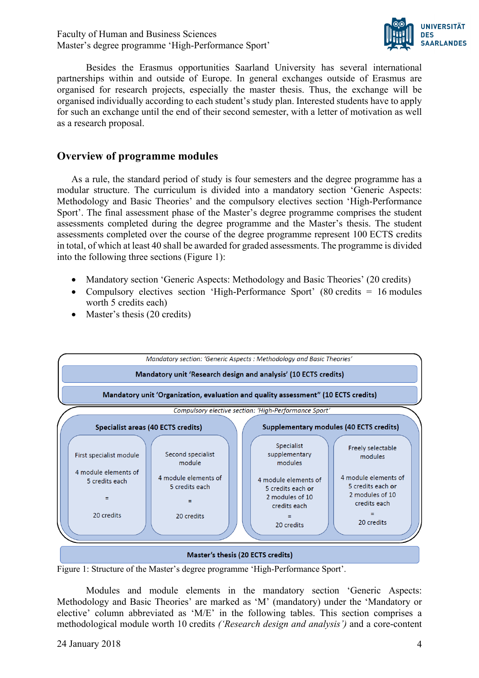Faculty of Human and Business Sciences Master's degree programme 'High-Performance Sport'



Besides the Erasmus opportunities Saarland University has several international partnerships within and outside of Europe. In general exchanges outside of Erasmus are organised for research projects, especially the master thesis. Thus, the exchange will be organised individually according to each student's study plan. Interested students have to apply for such an exchange until the end of their second semester, with a letter of motivation as well as a research proposal.

# **Overview of programme modules**

As a rule, the standard period of study is four semesters and the degree programme has a modular structure. The curriculum is divided into a mandatory section 'Generic Aspects: Methodology and Basic Theories' and the compulsory electives section 'High-Performance Sport'. The final assessment phase of the Master's degree programme comprises the student assessments completed during the degree programme and the Master's thesis. The student assessments completed over the course of the degree programme represent 100 ECTS credits in total, of which at least 40 shall be awarded for graded assessments. The programme is divided into the following three sections (Figure 1):

- Mandatory section 'Generic Aspects: Methodology and Basic Theories' (20 credits)
- Compulsory electives section 'High-Performance Sport' (80 credits = 16 modules) worth 5 credits each)
- Master's thesis (20 credits)



Figure 1: Structure of the Master's degree programme 'High-Performance Sport'.

Modules and module elements in the mandatory section 'Generic Aspects: Methodology and Basic Theories' are marked as 'M' (mandatory) under the 'Mandatory or elective' column abbreviated as 'M/E' in the following tables. This section comprises a methodological module worth 10 credits *('Research design and analysis')* and a core-content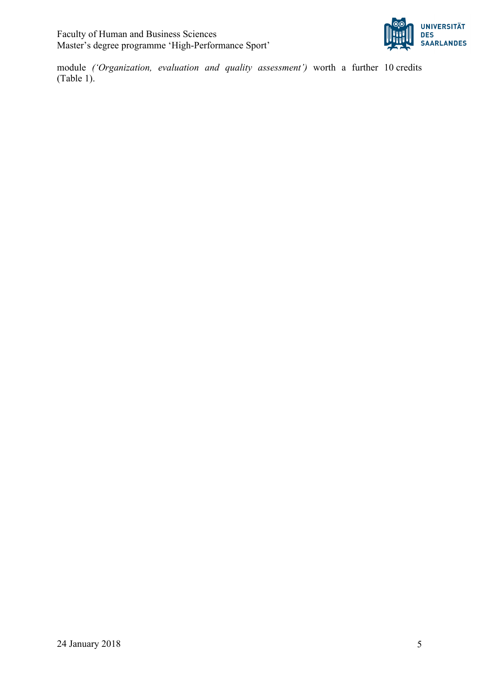

module *('Organization, evaluation and quality assessment')* worth a further 10 credits (Table 1).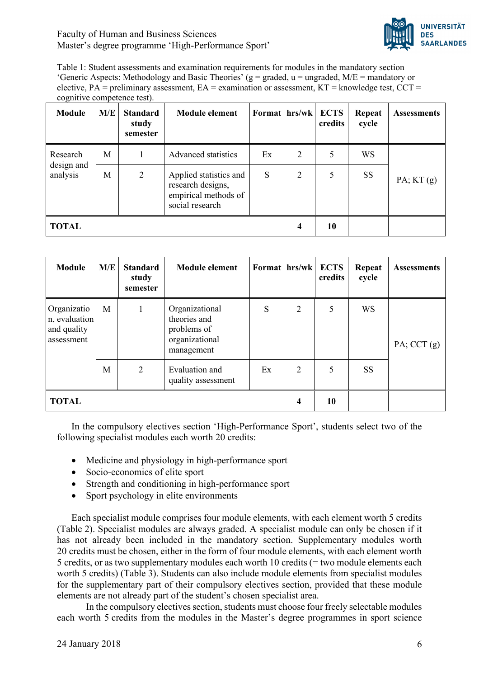Faculty of Human and Business Sciences Master's degree programme 'High-Performance Sport'



Table 1: Student assessments and examination requirements for modules in the mandatory section 'Generic Aspects: Methodology and Basic Theories' ( $g =$  graded,  $u =$  ungraded,  $M/E =$  mandatory or elective,  $PA = \text{preliminary assessment}$ ,  $EA = \text{examination or assessment}$ ,  $KT =$ knowledge test,  $CCT =$ cognitive competence test).

| <b>Module</b>          | M/E | <b>Standard</b><br>study<br>semester | <b>Module element</b>                                                                  | Format hrs/wk |                | <b>ECTS</b><br>credits | Repeat<br>cycle | <b>Assessments</b> |
|------------------------|-----|--------------------------------------|----------------------------------------------------------------------------------------|---------------|----------------|------------------------|-----------------|--------------------|
| Research               | M   |                                      | Advanced statistics                                                                    | Ex            | $\overline{2}$ | 5                      | WS              |                    |
| design and<br>analysis | M   | 2                                    | Applied statistics and<br>research designs,<br>empirical methods of<br>social research | S             | $\overline{2}$ | 5                      | <b>SS</b>       | PA; KT(g)          |
| <b>TOTAL</b>           |     |                                      |                                                                                        |               | 4              | 10                     |                 |                    |

| <b>Module</b>                                             | M/E | <b>Standard</b><br>study<br>semester | <b>Module element</b>                                                         |    | Format hrs/wk  | <b>ECTS</b><br>credits | Repeat<br>cycle | <b>Assessments</b> |
|-----------------------------------------------------------|-----|--------------------------------------|-------------------------------------------------------------------------------|----|----------------|------------------------|-----------------|--------------------|
| Organizatio<br>n, evaluation<br>and quality<br>assessment | M   |                                      | Organizational<br>theories and<br>problems of<br>organizational<br>management | S  | $\overline{2}$ | 5                      | <b>WS</b>       | PA; CCT $(g)$      |
|                                                           | M   | $\overline{2}$                       | Evaluation and<br>quality assessment                                          | Ex | 2              | 5                      | <b>SS</b>       |                    |
| <b>TOTAL</b>                                              |     |                                      |                                                                               |    | 4              | 10                     |                 |                    |

In the compulsory electives section 'High-Performance Sport', students select two of the following specialist modules each worth 20 credits:

- Medicine and physiology in high-performance sport
- Socio-economics of elite sport
- Strength and conditioning in high-performance sport
- Sport psychology in elite environments

Each specialist module comprises four module elements, with each element worth 5 credits (Table 2). Specialist modules are always graded. A specialist module can only be chosen if it has not already been included in the mandatory section. Supplementary modules worth 20 credits must be chosen, either in the form of four module elements, with each element worth 5 credits, or as two supplementary modules each worth 10 credits (= two module elements each worth 5 credits) (Table 3). Students can also include module elements from specialist modules for the supplementary part of their compulsory electives section, provided that these module elements are not already part of the student's chosen specialist area.

In the compulsory electives section, students must choose four freely selectable modules each worth 5 credits from the modules in the Master's degree programmes in sport science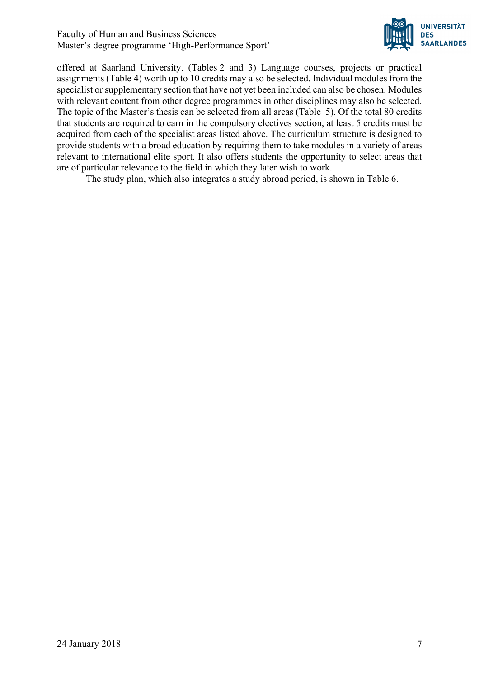

offered at Saarland University. (Tables 2 and 3) Language courses, projects or practical assignments (Table 4) worth up to 10 credits may also be selected. Individual modules from the specialist or supplementary section that have not yet been included can also be chosen. Modules with relevant content from other degree programmes in other disciplines may also be selected. The topic of the Master's thesis can be selected from all areas (Table 5). Of the total 80 credits that students are required to earn in the compulsory electives section, at least 5 credits must be acquired from each of the specialist areas listed above. The curriculum structure is designed to provide students with a broad education by requiring them to take modules in a variety of areas relevant to international elite sport. It also offers students the opportunity to select areas that are of particular relevance to the field in which they later wish to work.

The study plan, which also integrates a study abroad period, is shown in Table 6.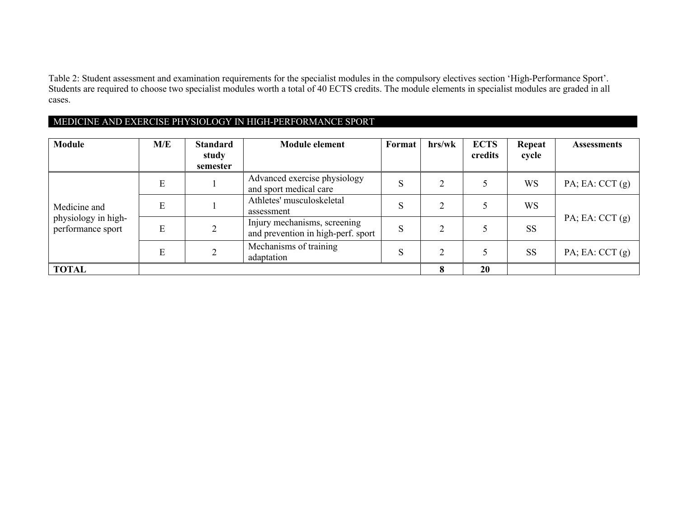Table 2: Student assessment and examination requirements for the specialist modules in the compulsory electives section 'High-Performance Sport'. Students are required to choose two specialist modules worth a total of 40 ECTS credits. The module elements in specialist modules are graded in all cases.

#### MEDICINE AND EXERCISE PHYSIOLOGY IN HIGH-PERFORMANCE SPORT

| <b>Module</b>                            | M/E | <b>Standard</b><br>study<br>semester | <b>Module element</b>                                              | Format | hrs/wk    | <b>ECTS</b><br>credits | Repeat<br>cycle | <b>Assessments</b>   |
|------------------------------------------|-----|--------------------------------------|--------------------------------------------------------------------|--------|-----------|------------------------|-----------------|----------------------|
|                                          | E   |                                      | Advanced exercise physiology<br>and sport medical care             | S      |           |                        | <b>WS</b>       | $PA$ ; EA: CCT $(g)$ |
| Medicine and                             | E   |                                      | Athletes' musculoskeletal<br>assessment                            | S      | $\gamma$  |                        | <b>WS</b>       |                      |
| physiology in high-<br>performance sport | E   |                                      | Injury mechanisms, screening<br>and prevention in high-perf. sport | S      |           |                        | <b>SS</b>       | $PA$ ; EA: CCT $(g)$ |
|                                          | E   |                                      | Mechanisms of training<br>adaptation                               | S      | $\bigcap$ |                        | <b>SS</b>       | $PA$ ; EA: CCT $(g)$ |
| <b>TOTAL</b>                             |     |                                      |                                                                    |        | 8         | 20                     |                 |                      |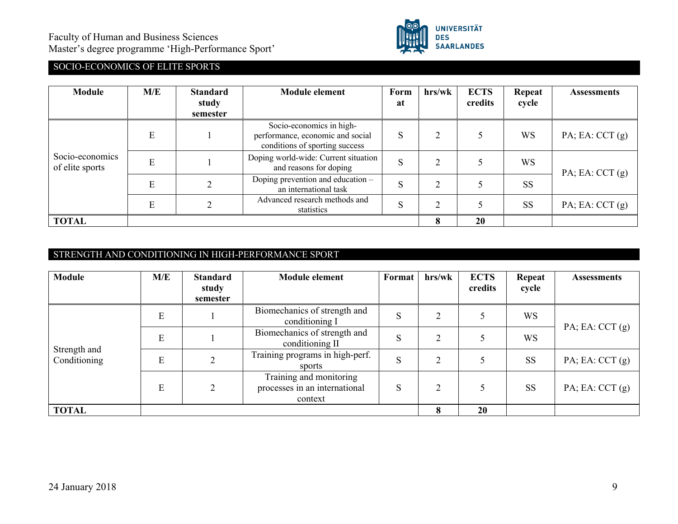

# SOCIO-ECONOMICS OF ELITE SPORTS

| Module                             | M/E | <b>Standard</b><br>study<br>semester | <b>Module element</b>                                                                          | Form<br>at | hrs/wk | <b>ECTS</b><br>credits | Repeat<br>cycle | <b>Assessments</b>   |
|------------------------------------|-----|--------------------------------------|------------------------------------------------------------------------------------------------|------------|--------|------------------------|-----------------|----------------------|
|                                    | E   |                                      | Socio-economics in high-<br>performance, economic and social<br>conditions of sporting success | S          |        |                        | <b>WS</b>       | PA; EA: $CCT(g)$     |
| Socio-economics<br>of elite sports | E   |                                      | Doping world-wide: Current situation<br>and reasons for doping                                 | S          | ◠      |                        | <b>WS</b>       | PA; EA: $CCT(g)$     |
|                                    | E   |                                      | Doping prevention and education -<br>an international task                                     | S          | ◠      |                        | <b>SS</b>       |                      |
|                                    | E   | $\mathcal{L}$                        | Advanced research methods and<br>statistics                                                    | S          | ◠      |                        | <b>SS</b>       | $PA$ ; EA: CCT $(g)$ |
| <b>TOTAL</b>                       |     |                                      |                                                                                                |            | 8      | 20                     |                 |                      |

## STRENGTH AND CONDITIONING IN HIGH-PERFORMANCE SPORT

| Module                       | M/E | <b>Standard</b><br>study<br>semester | <b>Module element</b>                                               | Format | hrs/wk | <b>ECTS</b><br>credits | Repeat<br>cycle | <b>Assessments</b> |
|------------------------------|-----|--------------------------------------|---------------------------------------------------------------------|--------|--------|------------------------|-----------------|--------------------|
|                              | E   |                                      | Biomechanics of strength and<br>conditioning I                      | S      | ◠      |                        | <b>WS</b>       | PA; EA: $CCT(g)$   |
|                              | E   |                                      | Biomechanics of strength and<br>conditioning II                     | S      | C      |                        | <b>WS</b>       |                    |
| Strength and<br>Conditioning | E   |                                      | Training programs in high-perf.<br>sports                           | S      |        |                        | <b>SS</b>       | PA; EA: $CCT(g)$   |
|                              | E   |                                      | Training and monitoring<br>processes in an international<br>context | S      |        |                        | <b>SS</b>       | PA; EA: CCT $(g)$  |
| <b>TOTAL</b>                 |     |                                      |                                                                     |        | 8      | 20                     |                 |                    |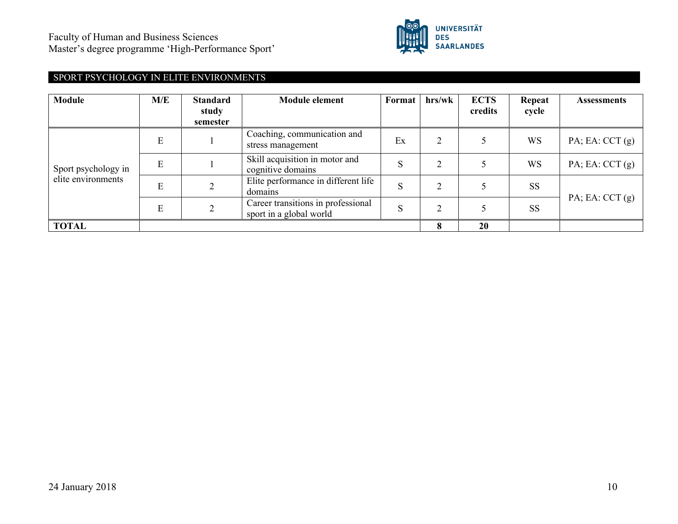

# SPORT PSYCHOLOGY IN ELITE ENVIRONMENTS

| <b>Module</b>       | M/E | <b>Standard</b><br>study<br>semester | <b>Module element</b>                                         | Format | hrs/wk | <b>ECTS</b><br>credits | Repeat<br>cycle | <b>Assessments</b>   |
|---------------------|-----|--------------------------------------|---------------------------------------------------------------|--------|--------|------------------------|-----------------|----------------------|
|                     | E   |                                      | Coaching, communication and<br>stress management              | Ex     |        |                        | <b>WS</b>       | $PA$ ; EA: CCT $(g)$ |
| Sport psychology in | E   |                                      | Skill acquisition in motor and<br>cognitive domains           | S      |        |                        | <b>WS</b>       | $PA$ ; EA: CCT $(g)$ |
| elite environments  | E   | C                                    | Elite performance in different life<br>domains                | S      |        |                        | <b>SS</b>       | $PA$ ; EA: CCT $(g)$ |
|                     | E   |                                      | Career transitions in professional<br>sport in a global world | S      |        |                        | <b>SS</b>       |                      |
| <b>TOTAL</b>        |     |                                      |                                                               |        |        | 20                     |                 |                      |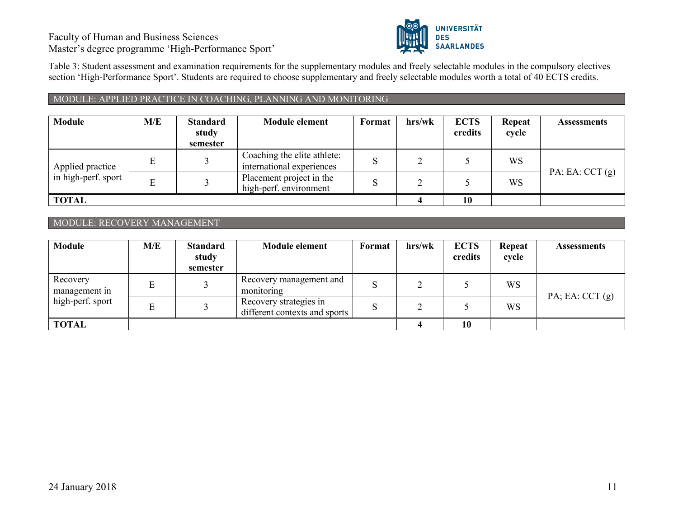Faculty of Human and Business Sciences Master's degree programme 'High-Performance Sport'



Table 3: Student assessment and examination requirements for the supplementary modules and freely selectable modules in the compulsory electives section 'High-Performance Sport'. Students are required to choose supplementary and freely selectable modules worth a total of 40 ECTS credits.

#### MODULE: APPLIED PRACTICE IN COACHING, PLANNING AND MONITORING

| <b>Module</b>       | M/E | <b>Standard</b><br>study<br>semester | <b>Module element</b>                                    | Format | hrs/wk | <b>ECTS</b><br>credits | Repeat<br>cycle | <b>Assessments</b>   |
|---------------------|-----|--------------------------------------|----------------------------------------------------------|--------|--------|------------------------|-----------------|----------------------|
| Applied practice    |     |                                      | Coaching the elite athlete:<br>international experiences |        |        |                        | <b>WS</b>       |                      |
| in high-perf. sport |     |                                      | Placement project in the<br>high-perf. environment       |        |        |                        | WS              | $PA$ ; EA: CCT $(g)$ |
| <b>TOTAL</b>        |     |                                      |                                                          |        |        | 10                     |                 |                      |

#### MODULE: RECOVERY MANAGEMENT

| <b>Module</b>             | M/E | <b>Standard</b><br>study<br>semester | <b>Module element</b>                                   | <b>Format</b> | hrs/wk | <b>ECTS</b><br>credits | Repeat<br>cycle | <b>Assessments</b>   |
|---------------------------|-----|--------------------------------------|---------------------------------------------------------|---------------|--------|------------------------|-----------------|----------------------|
| Recovery<br>management in |     |                                      | Recovery management and<br>monitoring                   | S             |        |                        | <b>WS</b>       | $PA$ ; EA: CCT $(g)$ |
| high-perf. sport          |     |                                      | Recovery strategies in<br>different contexts and sports | S             |        |                        | WS              |                      |
| <b>TOTAL</b>              |     |                                      |                                                         |               |        | 10                     |                 |                      |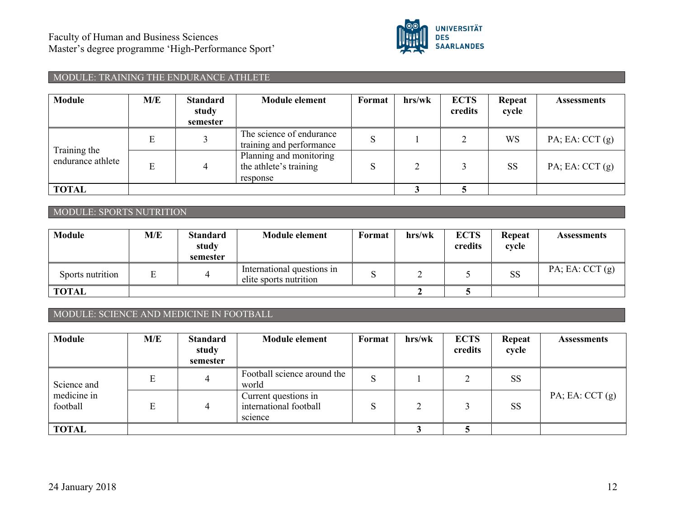

# MODULE: TRAINING THE ENDURANCE ATHLETE

| Module                            | M/E | <b>Standard</b><br>study<br>semester | <b>Module element</b>                                         | Format | hrs/wk | <b>ECTS</b><br>credits | Repeat<br>cycle | <b>Assessments</b>   |
|-----------------------------------|-----|--------------------------------------|---------------------------------------------------------------|--------|--------|------------------------|-----------------|----------------------|
|                                   | Е   |                                      | The science of endurance<br>training and performance          |        |        |                        | WS              | $PA$ ; EA: CCT $(g)$ |
| Training the<br>endurance athlete | E   | 4                                    | Planning and monitoring<br>the athlete's training<br>response |        |        |                        | <b>SS</b>       | $PA$ ; EA: CCT $(g)$ |
| <b>TOTAL</b>                      |     |                                      |                                                               |        |        |                        |                 |                      |

#### MODULE: SPORTS NUTRITION

| Module           | M/E | <b>Standard</b><br>study<br>semester | <b>Module element</b>                                | Format | hrs/wk | <b>ECTS</b><br>credits | Repeat<br>cycle | Assessments          |
|------------------|-----|--------------------------------------|------------------------------------------------------|--------|--------|------------------------|-----------------|----------------------|
| Sports nutrition |     | ↵                                    | International questions in<br>elite sports nutrition |        |        |                        | SS              | $PA$ ; EA: CCT $(g)$ |
| <b>TOTAL</b>     |     |                                      |                                                      |        |        |                        |                 |                      |

# MODULE: SCIENCE AND MEDICINE IN FOOTBALL

| Module                  | M/E | <b>Standard</b><br>study<br>semester | <b>Module element</b>                                     | Format      | hrs/wk | <b>ECTS</b><br>credits | Repeat<br>cycle | Assessments          |
|-------------------------|-----|--------------------------------------|-----------------------------------------------------------|-------------|--------|------------------------|-----------------|----------------------|
| Science and             | E   | 4                                    | Football science around the<br>world                      | $\mathbf C$ |        |                        | <b>SS</b>       |                      |
| medicine in<br>football | E   | 4                                    | Current questions in<br>international football<br>science | C           |        |                        | <b>SS</b>       | $PA$ ; EA: CCT $(g)$ |
| <b>TOTAL</b>            |     |                                      |                                                           |             |        |                        |                 |                      |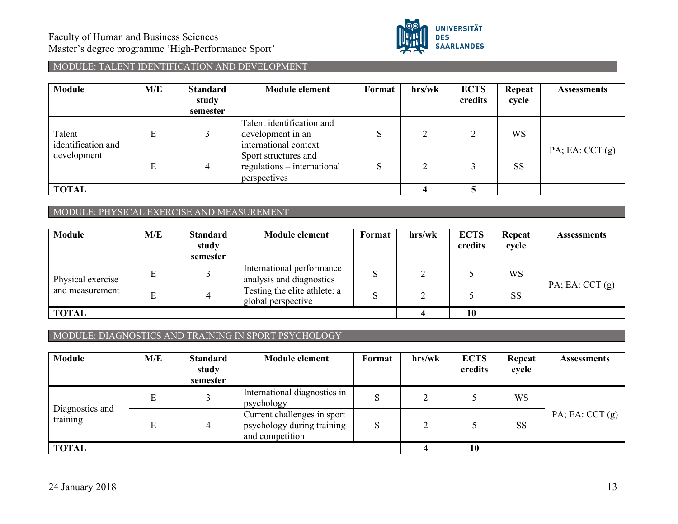

# MODULE: TALENT IDENTIFICATION AND DEVELOPMENT

| <b>Module</b>                               | M/E | <b>Standard</b><br>study<br>semester | <b>Module element</b>                                                   | Format | hrs/wk | <b>ECTS</b><br>credits | Repeat<br>cycle | Assessments          |  |
|---------------------------------------------|-----|--------------------------------------|-------------------------------------------------------------------------|--------|--------|------------------------|-----------------|----------------------|--|
| Talent<br>identification and<br>development | Е   |                                      | Talent identification and<br>development in an<br>international context |        |        |                        | <b>WS</b>       | $PA$ ; EA: CCT $(g)$ |  |
|                                             | E   | 4                                    | Sport structures and<br>regulations - international<br>perspectives     |        |        |                        | <b>SS</b>       |                      |  |
| <b>TOTAL</b>                                |     |                                      |                                                                         |        |        |                        |                 |                      |  |

#### MODULE: PHYSICAL EXERCISE AND MEASUREMENT

| <b>Module</b>                        | M/E | <b>Standard</b><br>study<br>semester | <b>Module element</b>                                 | Format | hrs/wk | <b>ECTS</b><br>credits | <b>Repeat</b><br>cycle | <b>Assessments</b>   |  |
|--------------------------------------|-----|--------------------------------------|-------------------------------------------------------|--------|--------|------------------------|------------------------|----------------------|--|
| Physical exercise<br>and measurement |     |                                      | International performance<br>analysis and diagnostics | S      |        |                        | WS                     | $PA$ ; EA: CCT $(g)$ |  |
|                                      |     | 4                                    | Testing the elite athlete: a<br>global perspective    | S      |        |                        | <b>SS</b>              |                      |  |
| <b>TOTAL</b>                         |     |                                      |                                                       |        |        | 10                     |                        |                      |  |

#### MODULE: DIAGNOSTICS AND TRAINING IN SPORT PSYCHOLOGY

| <b>Module</b>               | M/E | <b>Standard</b><br>study<br>semester | <b>Module element</b>                                                        | Format | hrs/wk | <b>ECTS</b><br>credits | Repeat<br>cycle | <b>Assessments</b>   |  |
|-----------------------------|-----|--------------------------------------|------------------------------------------------------------------------------|--------|--------|------------------------|-----------------|----------------------|--|
|                             |     |                                      | International diagnostics in<br>psychology                                   | د،     |        |                        | WS              |                      |  |
| Diagnostics and<br>training |     | 4                                    | Current challenges in sport<br>psychology during training<br>and competition | ю      |        |                        | <b>SS</b>       | $PA$ ; EA: CCT $(g)$ |  |
| <b>TOTAL</b>                |     |                                      |                                                                              |        |        | 10                     |                 |                      |  |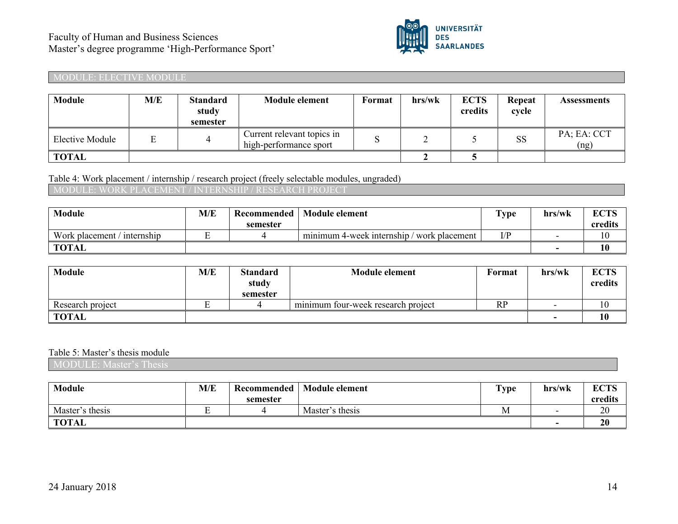

#### MODULE: ELECTIVE MODULE

| <b>Module</b>   | M/E | <b>Standard</b><br>study<br>semester | <b>Module element</b>                                | <b>Format</b> | hrs/wk | <b>ECTS</b><br>credits | Repeat<br>cycle | <b>Assessments</b>  |
|-----------------|-----|--------------------------------------|------------------------------------------------------|---------------|--------|------------------------|-----------------|---------------------|
| Elective Module |     | 4                                    | Current relevant topics in<br>high-performance sport |               |        |                        | <b>SS</b>       | PA; EA: CCT<br>(ng) |
| TOTAL           |     |                                      |                                                      |               |        |                        |                 |                     |

#### Table 4: Work placement / internship / research project (freely selectable modules, ungraded)

# MODULE: WORK PLACEMENT / INTERNSHIP / RESEARCH

| Module                         | M/E | Recommended | <b>Module element</b>                         | $\sim$<br>ype | hrs/wk | CCTC<br>LV IN |
|--------------------------------|-----|-------------|-----------------------------------------------|---------------|--------|---------------|
|                                |     | semester    |                                               |               |        | credits       |
| Work placement<br>' internship |     |             | minimum 4-week internship /<br>work placement | ח/ז           |        | 1 V           |
| <b>TOTAL</b>                   |     |             |                                               |               |        | 10            |

| <b>Module</b>    | M/E | <b>Standard</b><br>study<br>semester | <b>Module element</b>                                 | Format    | hrs/wk                   | <b>ECTS</b><br>credits |
|------------------|-----|--------------------------------------|-------------------------------------------------------|-----------|--------------------------|------------------------|
| Research project |     |                                      | $\cdot$ $\cdot$<br>minimum four-week research project | <b>RP</b> | -                        | ιv                     |
| <b>TOTAL</b>     |     |                                      |                                                       |           | $\overline{\phantom{0}}$ | 10                     |

#### Table 5: Master's thesis module

MODULE: Master's Thesis

| <b>Module</b>   | M/E | Recommended | <b>Module element</b> | Type       | hrs/wk                   | <b>ECTS</b> |
|-----------------|-----|-------------|-----------------------|------------|--------------------------|-------------|
|                 |     | semester    |                       |            |                          | credits     |
| Master's thesis |     |             | Master's thesis       | <b>IVI</b> | $\overline{\phantom{0}}$ | 20          |
| <b>TOTAL</b>    |     |             |                       |            |                          | 20          |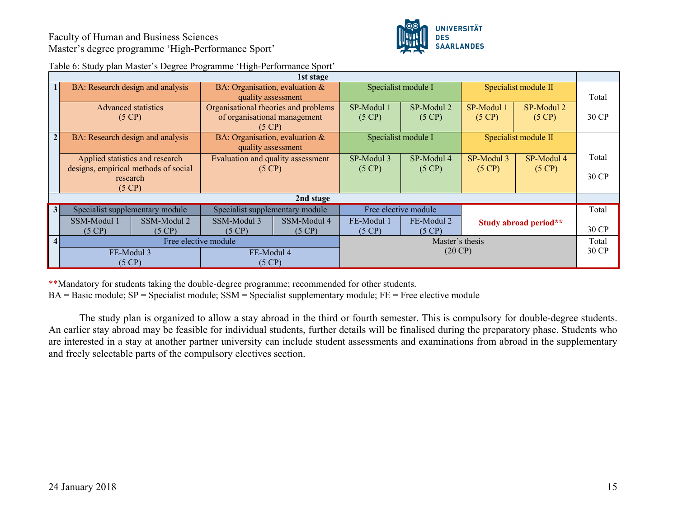

| 1st stage      |                                      |                      |                                      |             |                 |                      |            |                       |       |
|----------------|--------------------------------------|----------------------|--------------------------------------|-------------|-----------------|----------------------|------------|-----------------------|-------|
|                | BA: Research design and analysis     |                      | BA: Organisation, evaluation &       |             |                 | Specialist module I  |            | Specialist module II  |       |
|                |                                      |                      | quality assessment                   |             |                 |                      |            |                       | Total |
|                | <b>Advanced statistics</b>           |                      | Organisational theories and problems |             | SP-Modul 1      | SP-Modul 2           | SP-Modul 1 | SP-Modul 2            |       |
|                | (5 CP)                               |                      | of organisational management         |             | (5 CP)          | (5 CP)               | (5 CP)     | (5 CP)                | 30 CP |
|                |                                      |                      | $(5 \text{ CP})$                     |             |                 |                      |            |                       |       |
| 2 <sup>1</sup> | BA: Research design and analysis     |                      | BA: Organisation, evaluation &       |             |                 | Specialist module I  |            | Specialist module II  |       |
|                |                                      |                      | quality assessment                   |             |                 |                      |            |                       |       |
|                | Applied statistics and research      |                      | Evaluation and quality assessment    |             | SP-Modul 3      | SP-Modul 4           | SP-Modul 3 | SP-Modul 4            | Total |
|                | designs, empirical methods of social |                      | (5 CP)                               |             | (5 CP)          | (5 CP)               | (5 CP)     | (5 CP)                |       |
|                | research                             |                      |                                      |             |                 |                      |            |                       | 30 CP |
|                | (5 CP)                               |                      |                                      |             |                 |                      |            |                       |       |
|                |                                      |                      |                                      | 2nd stage   |                 |                      |            |                       |       |
|                |                                      |                      |                                      |             |                 |                      |            |                       |       |
| 3 <sup>1</sup> | Specialist supplementary module      |                      | Specialist supplementary module      |             |                 | Free elective module |            |                       | Total |
|                | SSM-Modul 1                          | SSM-Modul 2          | SSM-Modul 3                          | SSM-Modul 4 | FE-Modul 1      | FE-Modul 2           |            | Study abroad period** |       |
|                | (5 CP)                               | (5 CP)               | $(5 \text{ CP})$                     | (5 CP)      | (5 CP)          | (5 CP)               |            |                       | 30 CP |
| $\overline{4}$ |                                      | Free elective module |                                      |             | Master's thesis |                      |            |                       | Total |
|                | FE-Modul 3                           |                      | FE-Modul 4                           |             |                 | $(20 \text{ CP})$    |            |                       | 30 CP |
|                | (5 CP)                               |                      | (5 CP)                               |             |                 |                      |            |                       |       |

Table 6: Study plan Master's Degree Programme 'High-Performance Sport'

\*\*Mandatory for students taking the double-degree programme; recommended for other students.

BA = Basic module; SP = Specialist module; SSM = Specialist supplementary module; FE = Free elective module

The study plan is organized to allow a stay abroad in the third or fourth semester. This is compulsory for double-degree students. An earlier stay abroad may be feasible for individual students, further details will be finalised during the preparatory phase. Students who are interested in a stay at another partner university can include student assessments and examinations from abroad in the supplementary and freely selectable parts of the compulsory electives section.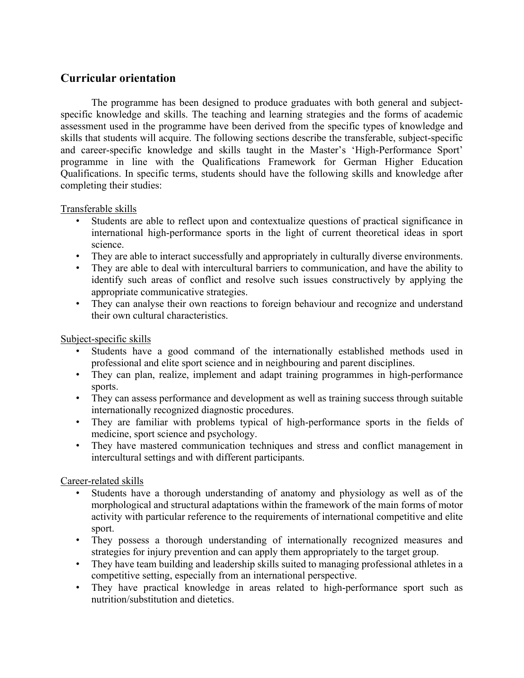# **Curricular orientation**

The programme has been designed to produce graduates with both general and subjectspecific knowledge and skills. The teaching and learning strategies and the forms of academic assessment used in the programme have been derived from the specific types of knowledge and skills that students will acquire. The following sections describe the transferable, subject-specific and career-specific knowledge and skills taught in the Master's 'High-Performance Sport' programme in line with the Qualifications Framework for German Higher Education Qualifications. In specific terms, students should have the following skills and knowledge after completing their studies:

Transferable skills

- Students are able to reflect upon and contextualize questions of practical significance in international high-performance sports in the light of current theoretical ideas in sport science.
- They are able to interact successfully and appropriately in culturally diverse environments.
- They are able to deal with intercultural barriers to communication, and have the ability to identify such areas of conflict and resolve such issues constructively by applying the appropriate communicative strategies.
- They can analyse their own reactions to foreign behaviour and recognize and understand their own cultural characteristics.

Subject-specific skills

- Students have a good command of the internationally established methods used in professional and elite sport science and in neighbouring and parent disciplines.
- They can plan, realize, implement and adapt training programmes in high-performance sports.
- They can assess performance and development as well as training success through suitable internationally recognized diagnostic procedures.
- They are familiar with problems typical of high-performance sports in the fields of medicine, sport science and psychology.
- They have mastered communication techniques and stress and conflict management in intercultural settings and with different participants.

## Career-related skills

- Students have a thorough understanding of anatomy and physiology as well as of the morphological and structural adaptations within the framework of the main forms of motor activity with particular reference to the requirements of international competitive and elite sport.
- They possess a thorough understanding of internationally recognized measures and strategies for injury prevention and can apply them appropriately to the target group.
- They have team building and leadership skills suited to managing professional athletes in a competitive setting, especially from an international perspective.
- They have practical knowledge in areas related to high-performance sport such as nutrition/substitution and dietetics.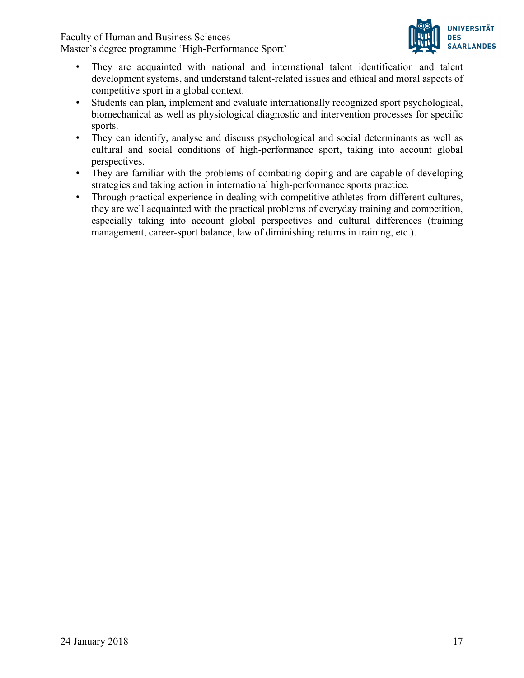Faculty of Human and Business Sciences

Master's degree programme 'High-Performance Sport'



- They are acquainted with national and international talent identification and talent development systems, and understand talent-related issues and ethical and moral aspects of competitive sport in a global context.
- Students can plan, implement and evaluate internationally recognized sport psychological, biomechanical as well as physiological diagnostic and intervention processes for specific sports.
- They can identify, analyse and discuss psychological and social determinants as well as cultural and social conditions of high-performance sport, taking into account global perspectives.
- They are familiar with the problems of combating doping and are capable of developing strategies and taking action in international high-performance sports practice.
- Through practical experience in dealing with competitive athletes from different cultures, they are well acquainted with the practical problems of everyday training and competition, especially taking into account global perspectives and cultural differences (training management, career-sport balance, law of diminishing returns in training, etc.).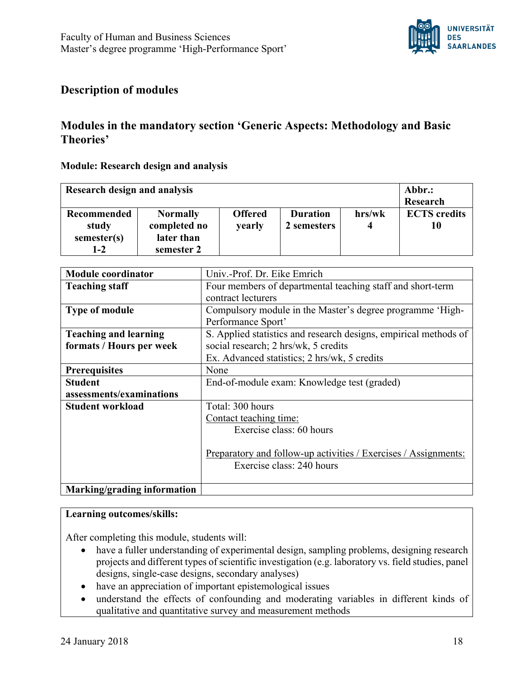

# **Description of modules**

# **Modules in the mandatory section 'Generic Aspects: Methodology and Basic Theories'**

## **Module: Research design and analysis**

| Research design and analysis                          | Abbr.:<br>Research                                          |                          |                                |             |                           |
|-------------------------------------------------------|-------------------------------------------------------------|--------------------------|--------------------------------|-------------|---------------------------|
| <b>Recommended</b><br>study<br>semester(s)<br>$1 - 2$ | <b>Normally</b><br>completed no<br>later than<br>semester 2 | <b>Offered</b><br>yearly | <b>Duration</b><br>2 semesters | hrs/wk<br>4 | <b>ECTS</b> credits<br>10 |

| <b>Module coordinator</b>    | Univ.-Prof. Dr. Eike Emrich                                      |
|------------------------------|------------------------------------------------------------------|
| <b>Teaching staff</b>        | Four members of departmental teaching staff and short-term       |
|                              | contract lecturers                                               |
| <b>Type of module</b>        | Compulsory module in the Master's degree programme 'High-        |
|                              | Performance Sport'                                               |
| <b>Teaching and learning</b> | S. Applied statistics and research designs, empirical methods of |
| formats / Hours per week     | social research; 2 hrs/wk, 5 credits                             |
|                              | Ex. Advanced statistics; 2 hrs/wk, 5 credits                     |
| <b>Prerequisites</b>         | None                                                             |
| <b>Student</b>               | End-of-module exam: Knowledge test (graded)                      |
| assessments/examinations     |                                                                  |
| <b>Student workload</b>      | Total: 300 hours                                                 |
|                              | Contact teaching time:                                           |
|                              | Exercise class: 60 hours                                         |
|                              |                                                                  |
|                              | Preparatory and follow-up activities / Exercises / Assignments:  |
|                              | Exercise class: 240 hours                                        |
|                              |                                                                  |
| Marking/grading information  |                                                                  |

#### **Learning outcomes/skills:**

After completing this module, students will:

- have a fuller understanding of experimental design, sampling problems, designing research projects and different types of scientific investigation (e.g. laboratory vs. field studies, panel designs, single-case designs, secondary analyses)
- have an appreciation of important epistemological issues
- understand the effects of confounding and moderating variables in different kinds of qualitative and quantitative survey and measurement methods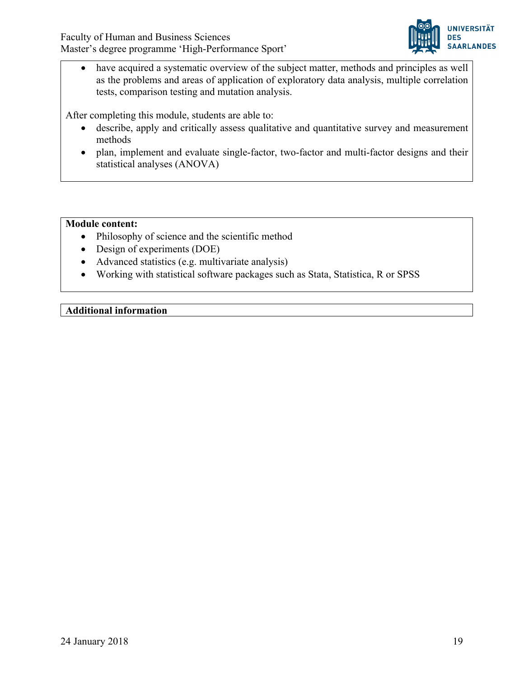

have acquired a systematic overview of the subject matter, methods and principles as well as the problems and areas of application of exploratory data analysis, multiple correlation tests, comparison testing and mutation analysis.

After completing this module, students are able to:

- describe, apply and critically assess qualitative and quantitative survey and measurement methods
- plan, implement and evaluate single-factor, two-factor and multi-factor designs and their statistical analyses (ANOVA)

#### **Module content:**

- Philosophy of science and the scientific method
- Design of experiments (DOE)
- Advanced statistics (e.g. multivariate analysis)
- Working with statistical software packages such as Stata, Statistica, R or SPSS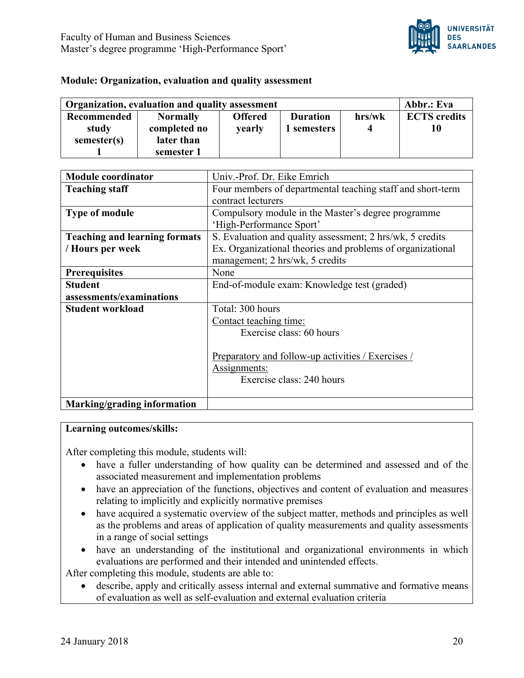

#### **Module: Organization, evaluation and quality assessment**

| Organization, evaluation and quality assessment | Abbr.: Eva      |                |                 |        |                     |
|-------------------------------------------------|-----------------|----------------|-----------------|--------|---------------------|
| <b>Recommended</b>                              | <b>Normally</b> | <b>Offered</b> | <b>Duration</b> | hrs/wk | <b>ECTS</b> credits |
| study                                           | completed no    | <b>vearly</b>  | l semesters     |        | 10                  |
| semester(s)                                     | later than      |                |                 |        |                     |
|                                                 | semester 1      |                |                 |        |                     |

| <b>Module coordinator</b>            | Univ.-Prof. Dr. Eike Emrich                                |
|--------------------------------------|------------------------------------------------------------|
|                                      |                                                            |
| <b>Teaching staff</b>                | Four members of departmental teaching staff and short-term |
|                                      | contract lecturers                                         |
| <b>Type of module</b>                | Compulsory module in the Master's degree programme         |
|                                      | 'High-Performance Sport'                                   |
| <b>Teaching and learning formats</b> | S. Evaluation and quality assessment; 2 hrs/wk, 5 credits  |
| / Hours per week                     | Ex. Organizational theories and problems of organizational |
|                                      | management; 2 hrs/wk, 5 credits                            |
| <b>Prerequisites</b>                 | None                                                       |
| <b>Student</b>                       | End-of-module exam: Knowledge test (graded)                |
| assessments/examinations             |                                                            |
| <b>Student workload</b>              | Total: 300 hours                                           |
|                                      | Contact teaching time:                                     |
|                                      | Exercise class: 60 hours                                   |
|                                      |                                                            |
|                                      | Preparatory and follow-up activities / Exercises /         |
|                                      | Assignments:                                               |
|                                      | Exercise class: 240 hours                                  |
|                                      |                                                            |
| Marking/grading information          |                                                            |

#### **Learning outcomes/skills:**

After completing this module, students will:

- have a fuller understanding of how quality can be determined and assessed and of the associated measurement and implementation problems
- have an appreciation of the functions, objectives and content of evaluation and measures relating to implicitly and explicitly normative premises
- have acquired a systematic overview of the subject matter, methods and principles as well as the problems and areas of application of quality measurements and quality assessments in a range of social settings
- have an understanding of the institutional and organizational environments in which evaluations are performed and their intended and unintended effects.

After completing this module, students are able to:

• describe, apply and critically assess internal and external summative and formative means of evaluation as well as self-evaluation and external evaluation criteria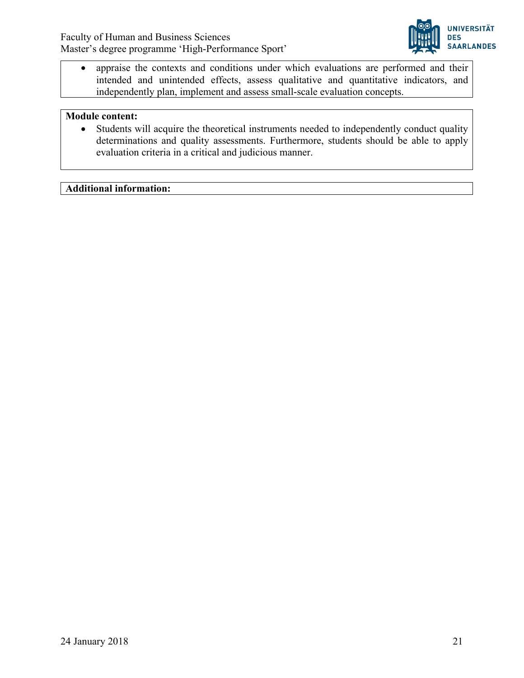

• appraise the contexts and conditions under which evaluations are performed and their intended and unintended effects, assess qualitative and quantitative indicators, and independently plan, implement and assess small-scale evaluation concepts.

#### **Module content:**

• Students will acquire the theoretical instruments needed to independently conduct quality determinations and quality assessments. Furthermore, students should be able to apply evaluation criteria in a critical and judicious manner.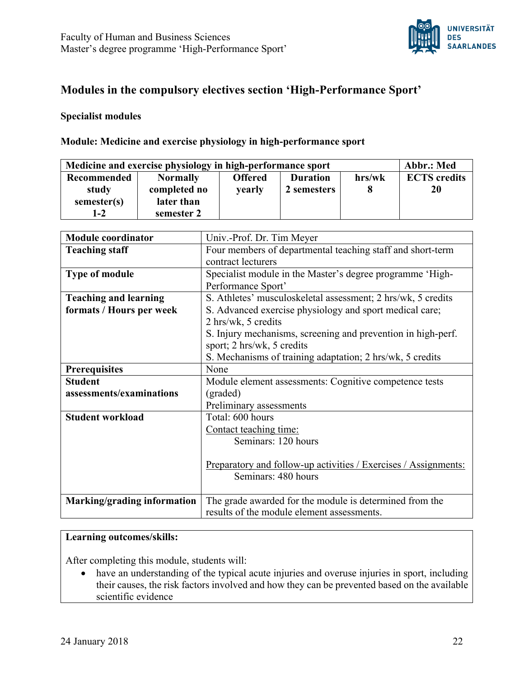

# **Modules in the compulsory electives section 'High-Performance Sport'**

#### **Specialist modules**

#### **Module: Medicine and exercise physiology in high-performance sport**

| Medicine and exercise physiology in high-performance sport |                 |                |                 | Abbr.: Med |                     |
|------------------------------------------------------------|-----------------|----------------|-----------------|------------|---------------------|
| <b>Recommended</b>                                         | <b>Normally</b> | <b>Offered</b> | <b>Duration</b> | hrs/wk     | <b>ECTS</b> credits |
| study                                                      | completed no    | yearly         | 2 semesters     |            | 20                  |
| semester(s)                                                | later than      |                |                 |            |                     |
| $1 - 2$                                                    | semester 2      |                |                 |            |                     |

| <b>Module coordinator</b>    | Univ.-Prof. Dr. Tim Meyer                                              |  |  |
|------------------------------|------------------------------------------------------------------------|--|--|
| <b>Teaching staff</b>        | Four members of departmental teaching staff and short-term             |  |  |
|                              | contract lecturers                                                     |  |  |
| Type of module               | Specialist module in the Master's degree programme 'High-              |  |  |
|                              | Performance Sport'                                                     |  |  |
| <b>Teaching and learning</b> | S. Athletes' musculoskeletal assessment; 2 hrs/wk, 5 credits           |  |  |
| formats / Hours per week     | S. Advanced exercise physiology and sport medical care;                |  |  |
|                              | 2 hrs/wk, 5 credits                                                    |  |  |
|                              | S. Injury mechanisms, screening and prevention in high-perf.           |  |  |
|                              | sport; 2 hrs/wk, 5 credits                                             |  |  |
|                              | S. Mechanisms of training adaptation; 2 hrs/wk, 5 credits              |  |  |
| <b>Prerequisites</b>         | None                                                                   |  |  |
| <b>Student</b>               | Module element assessments: Cognitive competence tests                 |  |  |
| assessments/examinations     | (graded)                                                               |  |  |
|                              | Preliminary assessments                                                |  |  |
| <b>Student workload</b>      | Total: 600 hours                                                       |  |  |
|                              | Contact teaching time:                                                 |  |  |
|                              | Seminars: 120 hours                                                    |  |  |
|                              |                                                                        |  |  |
|                              | <u>Preparatory and follow-up activities / Exercises / Assignments:</u> |  |  |
|                              | Seminars: 480 hours                                                    |  |  |
|                              |                                                                        |  |  |
| Marking/grading information  | The grade awarded for the module is determined from the                |  |  |
|                              | results of the module element assessments.                             |  |  |

# **Learning outcomes/skills:**

After completing this module, students will:

• have an understanding of the typical acute injuries and overuse injuries in sport, including their causes, the risk factors involved and how they can be prevented based on the available scientific evidence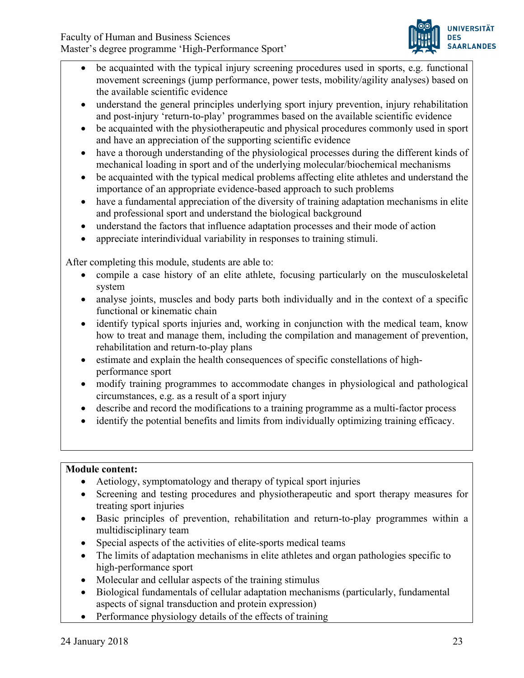

- be acquainted with the typical injury screening procedures used in sports, e.g. functional movement screenings (jump performance, power tests, mobility/agility analyses) based on the available scientific evidence
- understand the general principles underlying sport injury prevention, injury rehabilitation and post-injury 'return-to-play' programmes based on the available scientific evidence
- be acquainted with the physiotherapeutic and physical procedures commonly used in sport and have an appreciation of the supporting scientific evidence
- have a thorough understanding of the physiological processes during the different kinds of mechanical loading in sport and of the underlying molecular/biochemical mechanisms
- be acquainted with the typical medical problems affecting elite athletes and understand the importance of an appropriate evidence-based approach to such problems
- have a fundamental appreciation of the diversity of training adaptation mechanisms in elite and professional sport and understand the biological background
- understand the factors that influence adaptation processes and their mode of action
- appreciate interindividual variability in responses to training stimuli.

After completing this module, students are able to:

- compile a case history of an elite athlete, focusing particularly on the musculoskeletal system
- analyse joints, muscles and body parts both individually and in the context of a specific functional or kinematic chain
- identify typical sports injuries and, working in conjunction with the medical team, know how to treat and manage them, including the compilation and management of prevention, rehabilitation and return-to-play plans
- estimate and explain the health consequences of specific constellations of highperformance sport
- modify training programmes to accommodate changes in physiological and pathological circumstances, e.g. as a result of a sport injury
- describe and record the modifications to a training programme as a multi-factor process
- identify the potential benefits and limits from individually optimizing training efficacy.

## **Module content:**

- Aetiology, symptomatology and therapy of typical sport injuries
- Screening and testing procedures and physiotherapeutic and sport therapy measures for treating sport injuries
- Basic principles of prevention, rehabilitation and return-to-play programmes within a multidisciplinary team
- Special aspects of the activities of elite-sports medical teams
- The limits of adaptation mechanisms in elite athletes and organ pathologies specific to high-performance sport
- Molecular and cellular aspects of the training stimulus
- Biological fundamentals of cellular adaptation mechanisms (particularly, fundamental aspects of signal transduction and protein expression)
- Performance physiology details of the effects of training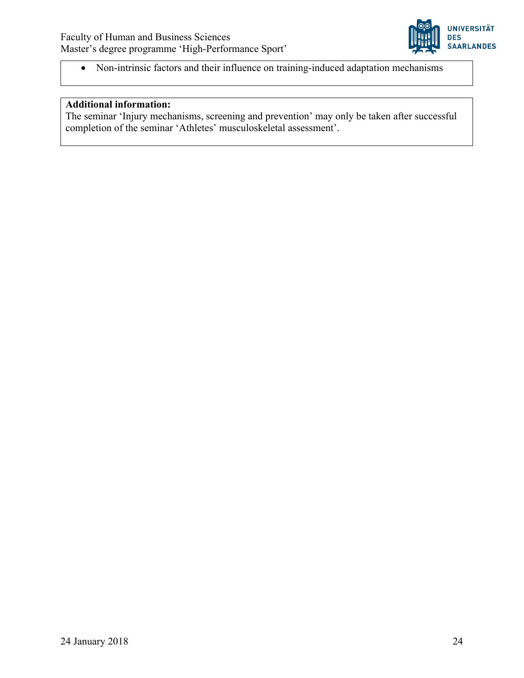

• Non-intrinsic factors and their influence on training-induced adaptation mechanisms

# **Additional information:**

The seminar 'Injury mechanisms, screening and prevention' may only be taken after successful completion of the seminar 'Athletes' musculoskeletal assessment'.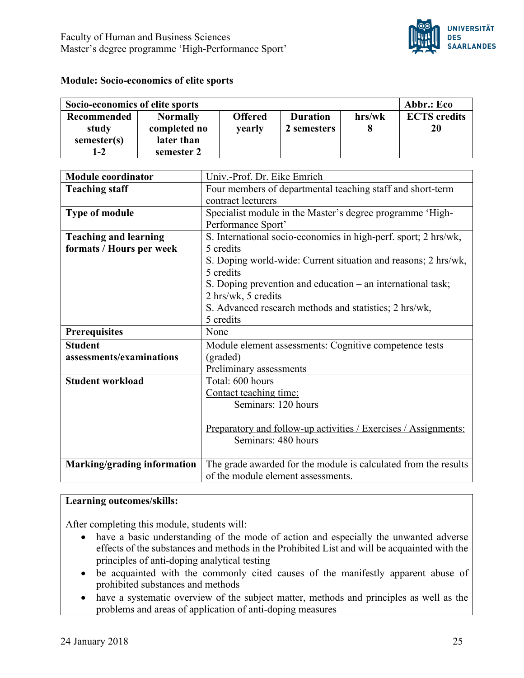

#### **Module: Socio-economics of elite sports**

| Socio-economics of elite sports |                 |                |                 | Abbr.: Eco |                     |
|---------------------------------|-----------------|----------------|-----------------|------------|---------------------|
| Recommended                     | <b>Normally</b> | <b>Offered</b> | <b>Duration</b> | hrs/wk     | <b>ECTS</b> credits |
| study                           | completed no    | <b>vearly</b>  | 2 semesters     |            | 20                  |
| semester(s)                     | later than      |                |                 |            |                     |
| $1 - 2$                         | semester 2      |                |                 |            |                     |

| <b>Module coordinator</b>    | Univ.-Prof. Dr. Eike Emrich                                     |
|------------------------------|-----------------------------------------------------------------|
| <b>Teaching staff</b>        | Four members of departmental teaching staff and short-term      |
|                              | contract lecturers                                              |
| <b>Type of module</b>        | Specialist module in the Master's degree programme 'High-       |
|                              | Performance Sport'                                              |
| <b>Teaching and learning</b> | S. International socio-economics in high-perf. sport; 2 hrs/wk, |
| formats / Hours per week     | 5 credits                                                       |
|                              | S. Doping world-wide: Current situation and reasons; 2 hrs/wk,  |
|                              | 5 credits                                                       |
|                              | S. Doping prevention and education – an international task;     |
|                              | 2 hrs/wk, 5 credits                                             |
|                              | S. Advanced research methods and statistics; 2 hrs/wk,          |
|                              | 5 credits                                                       |
| <b>Prerequisites</b>         | None                                                            |
| <b>Student</b>               | Module element assessments: Cognitive competence tests          |
| assessments/examinations     | (graded)                                                        |
|                              | Preliminary assessments                                         |
| <b>Student workload</b>      | Total: 600 hours                                                |
|                              | Contact teaching time:                                          |
|                              | Seminars: 120 hours                                             |
|                              |                                                                 |
|                              | Preparatory and follow-up activities / Exercises / Assignments: |
|                              | Seminars: 480 hours                                             |
|                              |                                                                 |
| Marking/grading information  | The grade awarded for the module is calculated from the results |
|                              | of the module element assessments.                              |

## **Learning outcomes/skills:**

After completing this module, students will:

- have a basic understanding of the mode of action and especially the unwanted adverse effects of the substances and methods in the Prohibited List and will be acquainted with the principles of anti-doping analytical testing
- be acquainted with the commonly cited causes of the manifestly apparent abuse of prohibited substances and methods
- have a systematic overview of the subject matter, methods and principles as well as the problems and areas of application of anti-doping measures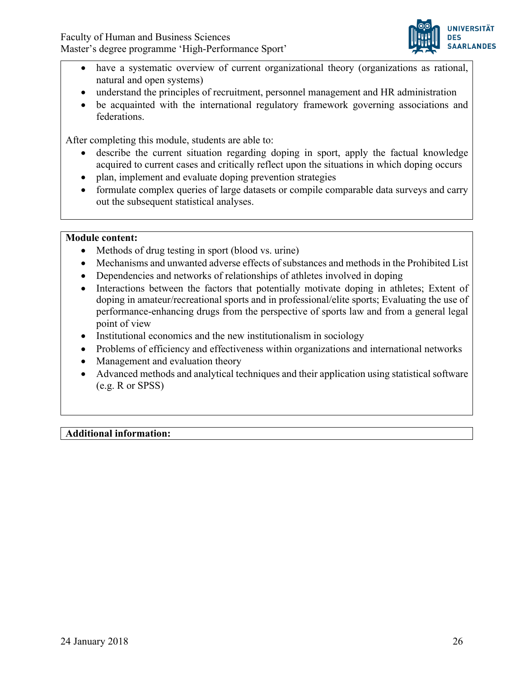

- have a systematic overview of current organizational theory (organizations as rational, natural and open systems)
- understand the principles of recruitment, personnel management and HR administration
- be acquainted with the international regulatory framework governing associations and federations.

After completing this module, students are able to:

- describe the current situation regarding doping in sport, apply the factual knowledge acquired to current cases and critically reflect upon the situations in which doping occurs
- plan, implement and evaluate doping prevention strategies
- formulate complex queries of large datasets or compile comparable data surveys and carry out the subsequent statistical analyses.

## **Module content:**

- Methods of drug testing in sport (blood vs. urine)
- Mechanisms and unwanted adverse effects of substances and methods in the Prohibited List
- Dependencies and networks of relationships of athletes involved in doping
- Interactions between the factors that potentially motivate doping in athletes; Extent of doping in amateur/recreational sports and in professional/elite sports; Evaluating the use of performance-enhancing drugs from the perspective of sports law and from a general legal point of view
- Institutional economics and the new institutionalism in sociology
- Problems of efficiency and effectiveness within organizations and international networks
- Management and evaluation theory
- Advanced methods and analytical techniques and their application using statistical software (e.g. R or SPSS)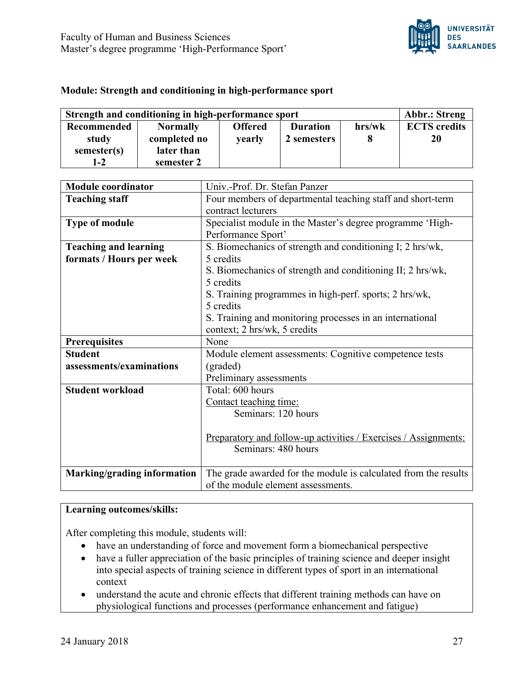

#### **Module: Strength and conditioning in high-performance sport**

| Strength and conditioning in high-performance sport |                 |                |                 | <b>Abbr.: Streng</b> |                     |
|-----------------------------------------------------|-----------------|----------------|-----------------|----------------------|---------------------|
| Recommended                                         | <b>Normally</b> | <b>Offered</b> | <b>Duration</b> | hrs/wk               | <b>ECTS</b> credits |
| study                                               | completed no    | <b>vearly</b>  | 2 semesters     |                      | 20                  |
| semester(s)                                         | later than      |                |                 |                      |                     |
| $1 - 2$                                             | semester 2      |                |                 |                      |                     |

| <b>Module coordinator</b>    | Univ.-Prof. Dr. Stefan Panzer                                   |
|------------------------------|-----------------------------------------------------------------|
| <b>Teaching staff</b>        | Four members of departmental teaching staff and short-term      |
|                              | contract lecturers                                              |
| Type of module               | Specialist module in the Master's degree programme 'High-       |
|                              | Performance Sport'                                              |
| <b>Teaching and learning</b> | S. Biomechanics of strength and conditioning I; 2 hrs/wk,       |
| formats / Hours per week     | 5 credits                                                       |
|                              | S. Biomechanics of strength and conditioning II; 2 hrs/wk,      |
|                              | 5 credits                                                       |
|                              | S. Training programmes in high-perf. sports; 2 hrs/wk,          |
|                              | 5 credits                                                       |
|                              | S. Training and monitoring processes in an international        |
|                              | context; 2 hrs/wk, 5 credits                                    |
| <b>Prerequisites</b>         | None                                                            |
| <b>Student</b>               | Module element assessments: Cognitive competence tests          |
| assessments/examinations     | (graded)                                                        |
|                              | Preliminary assessments                                         |
| <b>Student workload</b>      | Total: 600 hours                                                |
|                              | Contact teaching time:                                          |
|                              |                                                                 |
|                              | Seminars: 120 hours                                             |
|                              |                                                                 |
|                              | Preparatory and follow-up activities / Exercises / Assignments: |
|                              | Seminars: 480 hours                                             |
|                              |                                                                 |
| Marking/grading information  | The grade awarded for the module is calculated from the results |

# **Learning outcomes/skills:**

After completing this module, students will:

- have an understanding of force and movement form a biomechanical perspective
- have a fuller appreciation of the basic principles of training science and deeper insight into special aspects of training science in different types of sport in an international context
- understand the acute and chronic effects that different training methods can have on physiological functions and processes (performance enhancement and fatigue)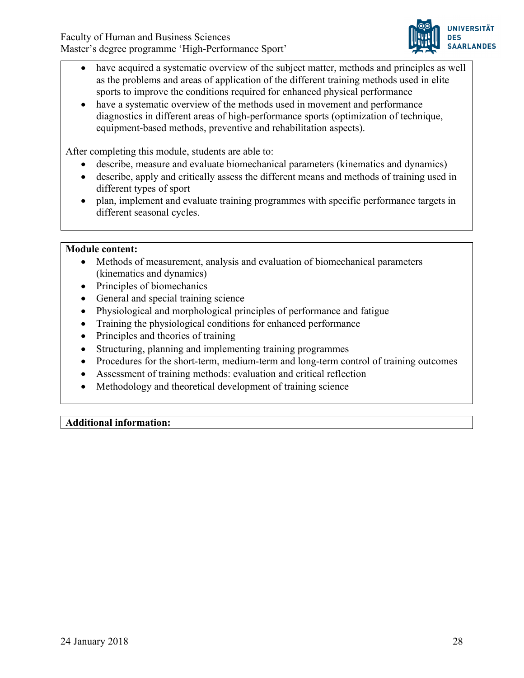

- have acquired a systematic overview of the subject matter, methods and principles as well as the problems and areas of application of the different training methods used in elite sports to improve the conditions required for enhanced physical performance
- have a systematic overview of the methods used in movement and performance diagnostics in different areas of high-performance sports (optimization of technique, equipment-based methods, preventive and rehabilitation aspects).

After completing this module, students are able to:

- describe, measure and evaluate biomechanical parameters (kinematics and dynamics)
- describe, apply and critically assess the different means and methods of training used in different types of sport
- plan, implement and evaluate training programmes with specific performance targets in different seasonal cycles.

#### **Module content:**

- Methods of measurement, analysis and evaluation of biomechanical parameters (kinematics and dynamics)
- Principles of biomechanics
- General and special training science
- Physiological and morphological principles of performance and fatigue
- Training the physiological conditions for enhanced performance
- Principles and theories of training
- Structuring, planning and implementing training programmes
- Procedures for the short-term, medium-term and long-term control of training outcomes
- Assessment of training methods: evaluation and critical reflection
- Methodology and theoretical development of training science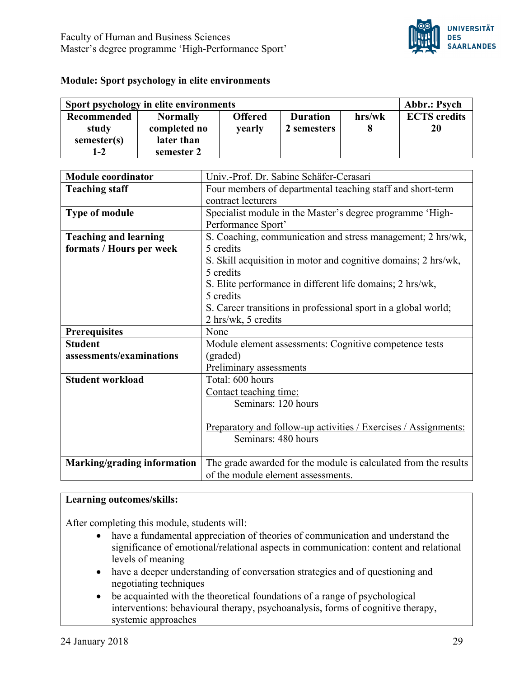

#### **Module: Sport psychology in elite environments**

| Sport psychology in elite environments |                 |                |                 |        | <b>Abbr.: Psych</b> |
|----------------------------------------|-----------------|----------------|-----------------|--------|---------------------|
| Recommended                            | <b>Normally</b> | <b>Offered</b> | <b>Duration</b> | hrs/wk | <b>ECTS</b> credits |
| study                                  | completed no    | yearly         | 2 semesters     |        | 20                  |
| semester(s)                            | later than      |                |                 |        |                     |
| $1 - 2$                                | semester 2      |                |                 |        |                     |

| <b>Module coordinator</b>    | Univ.-Prof. Dr. Sabine Schäfer-Cerasari                         |
|------------------------------|-----------------------------------------------------------------|
| <b>Teaching staff</b>        | Four members of departmental teaching staff and short-term      |
|                              | contract lecturers                                              |
| <b>Type of module</b>        | Specialist module in the Master's degree programme 'High-       |
|                              | Performance Sport'                                              |
| <b>Teaching and learning</b> | S. Coaching, communication and stress management; 2 hrs/wk,     |
| formats / Hours per week     | 5 credits                                                       |
|                              | S. Skill acquisition in motor and cognitive domains; 2 hrs/wk,  |
|                              | 5 credits                                                       |
|                              | S. Elite performance in different life domains; 2 hrs/wk,       |
|                              | 5 credits                                                       |
|                              | S. Career transitions in professional sport in a global world;  |
|                              | 2 hrs/wk, 5 credits                                             |
| <b>Prerequisites</b>         | None                                                            |
| <b>Student</b>               | Module element assessments: Cognitive competence tests          |
| assessments/examinations     | (graded)                                                        |
|                              | Preliminary assessments                                         |
| <b>Student workload</b>      | Total: 600 hours                                                |
|                              | Contact teaching time:                                          |
|                              | Seminars: 120 hours                                             |
|                              |                                                                 |
|                              | Preparatory and follow-up activities / Exercises / Assignments: |
|                              | Seminars: 480 hours                                             |
|                              |                                                                 |
| Marking/grading information  | The grade awarded for the module is calculated from the results |
|                              | of the module element assessments.                              |

#### **Learning outcomes/skills:**

After completing this module, students will:

- have a fundamental appreciation of theories of communication and understand the significance of emotional/relational aspects in communication: content and relational levels of meaning
- have a deeper understanding of conversation strategies and of questioning and negotiating techniques
- be acquainted with the theoretical foundations of a range of psychological interventions: behavioural therapy, psychoanalysis, forms of cognitive therapy, systemic approaches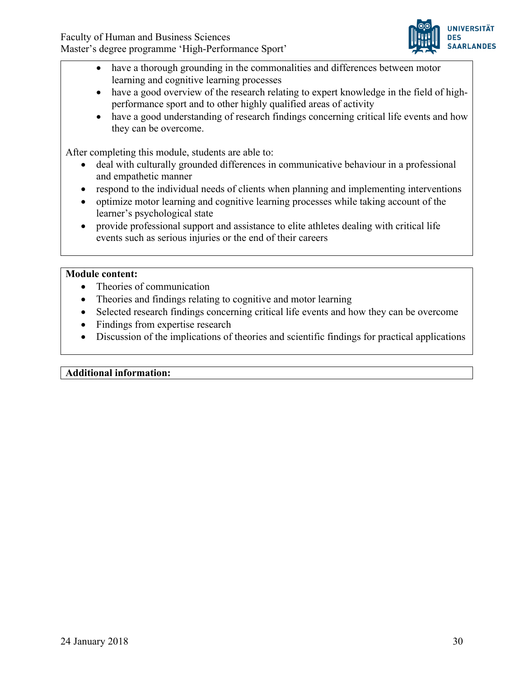

- have a thorough grounding in the commonalities and differences between motor learning and cognitive learning processes
- have a good overview of the research relating to expert knowledge in the field of highperformance sport and to other highly qualified areas of activity
- have a good understanding of research findings concerning critical life events and how they can be overcome.

After completing this module, students are able to:

- deal with culturally grounded differences in communicative behaviour in a professional and empathetic manner
- respond to the individual needs of clients when planning and implementing interventions
- optimize motor learning and cognitive learning processes while taking account of the learner's psychological state
- provide professional support and assistance to elite athletes dealing with critical life events such as serious injuries or the end of their careers

## **Module content:**

- Theories of communication
- Theories and findings relating to cognitive and motor learning
- Selected research findings concerning critical life events and how they can be overcome
- Findings from expertise research
- Discussion of the implications of theories and scientific findings for practical applications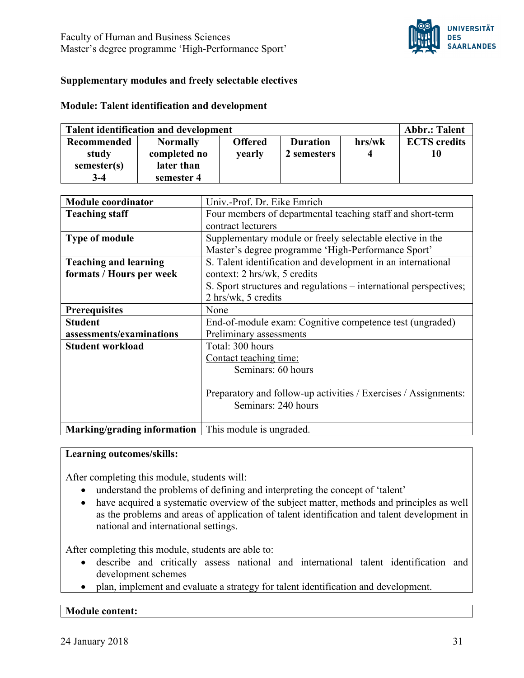

## **Supplementary modules and freely selectable electives**

#### **Module: Talent identification and development**

| <b>Talent identification and development</b> |                 |                |                 | <b>Abbr.: Talent</b> |                     |
|----------------------------------------------|-----------------|----------------|-----------------|----------------------|---------------------|
| Recommended                                  | <b>Normally</b> | <b>Offered</b> | <b>Duration</b> | hrs/wk               | <b>ECTS</b> credits |
| study                                        | completed no    | <b>vearly</b>  | 2 semesters     |                      | 10                  |
| semester(s)                                  | later than      |                |                 |                      |                     |
| $3-4$                                        | semester 4      |                |                 |                      |                     |

| <b>Module coordinator</b>                              | Univ.-Prof. Dr. Eike Emrich                                       |  |  |
|--------------------------------------------------------|-------------------------------------------------------------------|--|--|
| <b>Teaching staff</b>                                  | Four members of departmental teaching staff and short-term        |  |  |
|                                                        | contract lecturers                                                |  |  |
| <b>Type of module</b>                                  | Supplementary module or freely selectable elective in the         |  |  |
|                                                        | Master's degree programme 'High-Performance Sport'                |  |  |
| <b>Teaching and learning</b>                           | S. Talent identification and development in an international      |  |  |
| formats / Hours per week                               | context: 2 hrs/wk, 5 credits                                      |  |  |
|                                                        | S. Sport structures and regulations – international perspectives; |  |  |
|                                                        | 2 hrs/wk, 5 credits                                               |  |  |
| <b>Prerequisites</b>                                   | None                                                              |  |  |
| <b>Student</b>                                         | End-of-module exam: Cognitive competence test (ungraded)          |  |  |
| assessments/examinations                               | Preliminary assessments                                           |  |  |
| <b>Student workload</b>                                | Total: 300 hours                                                  |  |  |
|                                                        | Contact teaching time:                                            |  |  |
|                                                        | Seminars: 60 hours                                                |  |  |
|                                                        |                                                                   |  |  |
|                                                        | Preparatory and follow-up activities / Exercises / Assignments:   |  |  |
|                                                        | Seminars: 240 hours                                               |  |  |
|                                                        |                                                                   |  |  |
| Marking/grading information   This module is ungraded. |                                                                   |  |  |

#### **Learning outcomes/skills:**

After completing this module, students will:

- understand the problems of defining and interpreting the concept of 'talent'
- have acquired a systematic overview of the subject matter, methods and principles as well as the problems and areas of application of talent identification and talent development in national and international settings.

After completing this module, students are able to:

- describe and critically assess national and international talent identification and development schemes
- plan, implement and evaluate a strategy for talent identification and development.

#### **Module content:**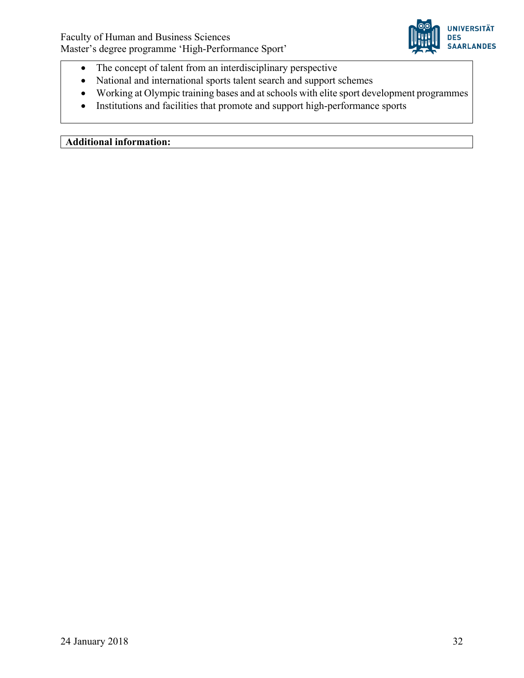

- The concept of talent from an interdisciplinary perspective
- National and international sports talent search and support schemes
- Working at Olympic training bases and at schools with elite sport development programmes
- Institutions and facilities that promote and support high-performance sports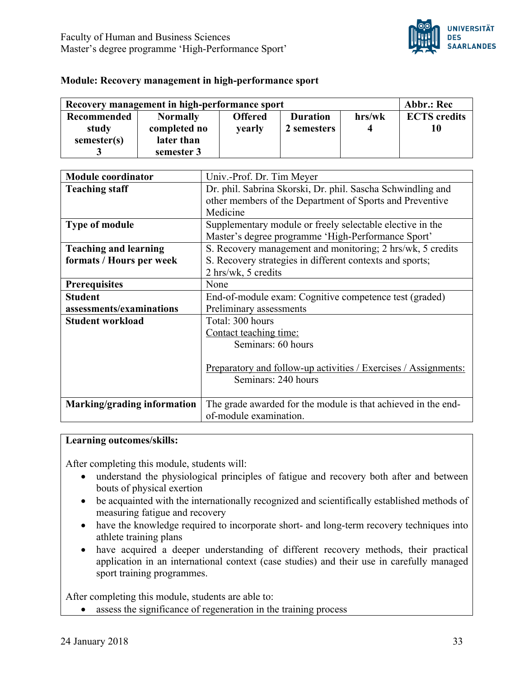

#### **Module: Recovery management in high-performance sport**

| Recovery management in high-performance sport |                 |                |                 | Abbr.: Rec |                     |
|-----------------------------------------------|-----------------|----------------|-----------------|------------|---------------------|
| <b>Recommended</b>                            | <b>Normally</b> | <b>Offered</b> | <b>Duration</b> | hrs/wk     | <b>ECTS</b> credits |
| study                                         | completed no    | <b>vearly</b>  | 2 semesters     |            |                     |
| semester(s)                                   | later than      |                |                 |            |                     |
|                                               | semester 3      |                |                 |            |                     |

| <b>Module coordinator</b>    | Univ.-Prof. Dr. Tim Meyer                                              |  |
|------------------------------|------------------------------------------------------------------------|--|
| <b>Teaching staff</b>        | Dr. phil. Sabrina Skorski, Dr. phil. Sascha Schwindling and            |  |
|                              | other members of the Department of Sports and Preventive               |  |
|                              | Medicine                                                               |  |
| <b>Type of module</b>        | Supplementary module or freely selectable elective in the              |  |
|                              | Master's degree programme 'High-Performance Sport'                     |  |
| <b>Teaching and learning</b> | S. Recovery management and monitoring; 2 hrs/wk, 5 credits             |  |
| formats / Hours per week     | S. Recovery strategies in different contexts and sports;               |  |
|                              | 2 hrs/wk, 5 credits                                                    |  |
| <b>Prerequisites</b>         | None                                                                   |  |
| <b>Student</b>               | End-of-module exam: Cognitive competence test (graded)                 |  |
| assessments/examinations     | Preliminary assessments                                                |  |
| <b>Student workload</b>      | Total: 300 hours                                                       |  |
|                              | Contact teaching time:                                                 |  |
|                              | Seminars: 60 hours                                                     |  |
|                              |                                                                        |  |
|                              | <u>Preparatory and follow-up activities / Exercises / Assignments:</u> |  |
|                              | Seminars: 240 hours                                                    |  |
|                              |                                                                        |  |
| Marking/grading information  | The grade awarded for the module is that achieved in the end-          |  |
|                              | of-module examination.                                                 |  |

#### **Learning outcomes/skills:**

After completing this module, students will:

- understand the physiological principles of fatigue and recovery both after and between bouts of physical exertion
- be acquainted with the internationally recognized and scientifically established methods of measuring fatigue and recovery
- have the knowledge required to incorporate short- and long-term recovery techniques into athlete training plans
- have acquired a deeper understanding of different recovery methods, their practical application in an international context (case studies) and their use in carefully managed sport training programmes.

After completing this module, students are able to:

• assess the significance of regeneration in the training process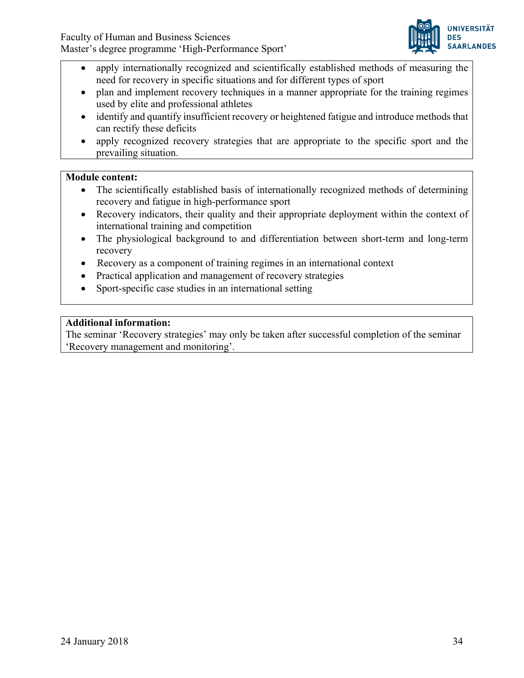

- apply internationally recognized and scientifically established methods of measuring the need for recovery in specific situations and for different types of sport
- plan and implement recovery techniques in a manner appropriate for the training regimes used by elite and professional athletes
- identify and quantify insufficient recovery or heightened fatigue and introduce methods that can rectify these deficits
- apply recognized recovery strategies that are appropriate to the specific sport and the prevailing situation.

# **Module content:**

- The scientifically established basis of internationally recognized methods of determining recovery and fatigue in high-performance sport
- Recovery indicators, their quality and their appropriate deployment within the context of international training and competition
- The physiological background to and differentiation between short-term and long-term recovery
- Recovery as a component of training regimes in an international context
- Practical application and management of recovery strategies
- Sport-specific case studies in an international setting

# **Additional information:**

The seminar 'Recovery strategies' may only be taken after successful completion of the seminar 'Recovery management and monitoring'.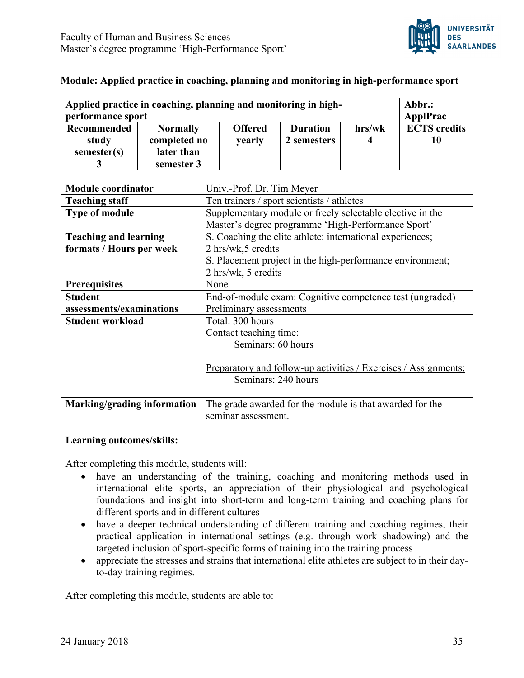

#### **Module: Applied practice in coaching, planning and monitoring in high-performance sport**

| Applied practice in coaching, planning and monitoring in high-<br>performance sport |                                 |                          |                                |        | Abbr.:<br>ApplPrac  |
|-------------------------------------------------------------------------------------|---------------------------------|--------------------------|--------------------------------|--------|---------------------|
| <b>Recommended</b><br>study                                                         | <b>Normally</b><br>completed no | <b>Offered</b><br>yearly | <b>Duration</b><br>2 semesters | hrs/wk | <b>ECTS</b> credits |
| semester(s)                                                                         | later than<br>semester 3        |                          |                                |        |                     |

| <b>Module coordinator</b>    | Univ.-Prof. Dr. Tim Meyer                                       |  |  |
|------------------------------|-----------------------------------------------------------------|--|--|
| <b>Teaching staff</b>        | Ten trainers / sport scientists / athletes                      |  |  |
| <b>Type of module</b>        | Supplementary module or freely selectable elective in the       |  |  |
|                              | Master's degree programme 'High-Performance Sport'              |  |  |
| <b>Teaching and learning</b> | S. Coaching the elite athlete: international experiences;       |  |  |
| formats / Hours per week     | $2 \text{ hrs/wk}, 5 \text{ credits}$                           |  |  |
|                              | S. Placement project in the high-performance environment;       |  |  |
|                              | 2 hrs/wk, 5 credits                                             |  |  |
| <b>Prerequisites</b>         | None                                                            |  |  |
| <b>Student</b>               | End-of-module exam: Cognitive competence test (ungraded)        |  |  |
| assessments/examinations     | Preliminary assessments                                         |  |  |
| <b>Student workload</b>      | Total: 300 hours                                                |  |  |
|                              | Contact teaching time:                                          |  |  |
|                              | Seminars: 60 hours                                              |  |  |
|                              |                                                                 |  |  |
|                              | Preparatory and follow-up activities / Exercises / Assignments: |  |  |
|                              | Seminars: 240 hours                                             |  |  |
|                              |                                                                 |  |  |
| Marking/grading information  | The grade awarded for the module is that awarded for the        |  |  |
|                              | seminar assessment.                                             |  |  |

#### **Learning outcomes/skills:**

After completing this module, students will:

- have an understanding of the training, coaching and monitoring methods used in international elite sports, an appreciation of their physiological and psychological foundations and insight into short-term and long-term training and coaching plans for different sports and in different cultures
- have a deeper technical understanding of different training and coaching regimes, their practical application in international settings (e.g. through work shadowing) and the targeted inclusion of sport-specific forms of training into the training process
- appreciate the stresses and strains that international elite athletes are subject to in their dayto-day training regimes.

After completing this module, students are able to: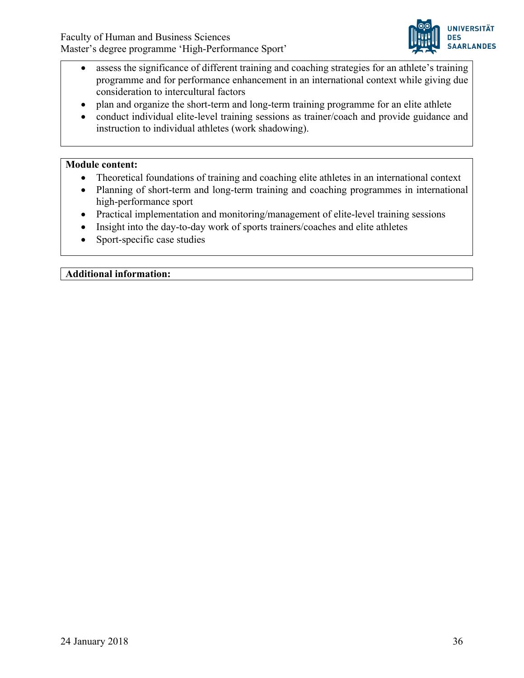

- assess the significance of different training and coaching strategies for an athlete's training programme and for performance enhancement in an international context while giving due consideration to intercultural factors
- plan and organize the short-term and long-term training programme for an elite athlete
- conduct individual elite-level training sessions as trainer/coach and provide guidance and instruction to individual athletes (work shadowing).

#### **Module content:**

- Theoretical foundations of training and coaching elite athletes in an international context
- Planning of short-term and long-term training and coaching programmes in international high-performance sport
- Practical implementation and monitoring/management of elite-level training sessions
- Insight into the day-to-day work of sports trainers/coaches and elite athletes
- Sport-specific case studies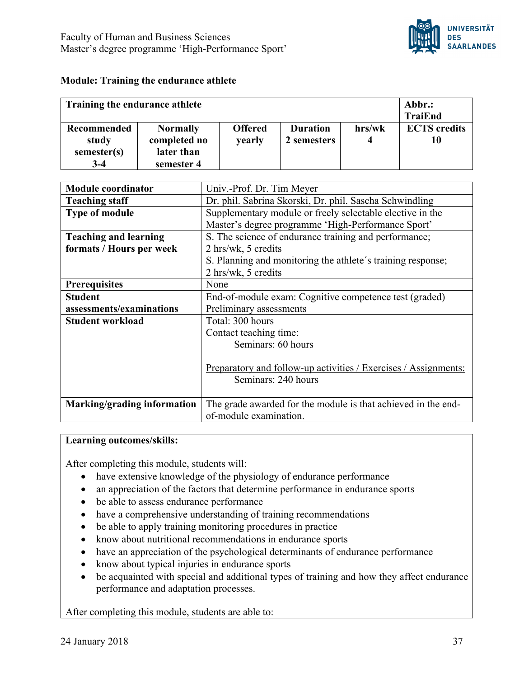

#### **Module: Training the endurance athlete**

| Training the endurance athlete               |                                                             |                          |                                |             | Abbr.:<br>TraiEnd         |
|----------------------------------------------|-------------------------------------------------------------|--------------------------|--------------------------------|-------------|---------------------------|
| Recommended<br>study<br>semester(s)<br>$3-4$ | <b>Normally</b><br>completed no<br>later than<br>semester 4 | <b>Offered</b><br>yearly | <b>Duration</b><br>2 semesters | hrs/wk<br>4 | <b>ECTS</b> credits<br>10 |

| <b>Module coordinator</b>    | Univ.-Prof. Dr. Tim Meyer                                       |  |  |  |
|------------------------------|-----------------------------------------------------------------|--|--|--|
| <b>Teaching staff</b>        | Dr. phil. Sabrina Skorski, Dr. phil. Sascha Schwindling         |  |  |  |
| <b>Type of module</b>        | Supplementary module or freely selectable elective in the       |  |  |  |
|                              | Master's degree programme 'High-Performance Sport'              |  |  |  |
| <b>Teaching and learning</b> | S. The science of endurance training and performance;           |  |  |  |
| formats / Hours per week     | 2 hrs/wk, 5 credits                                             |  |  |  |
|                              | S. Planning and monitoring the athlete's training response;     |  |  |  |
|                              | 2 hrs/wk, 5 credits                                             |  |  |  |
| <b>Prerequisites</b>         | None                                                            |  |  |  |
| <b>Student</b>               | End-of-module exam: Cognitive competence test (graded)          |  |  |  |
| assessments/examinations     | Preliminary assessments                                         |  |  |  |
| <b>Student workload</b>      | Total: 300 hours                                                |  |  |  |
|                              | Contact teaching time:                                          |  |  |  |
|                              | Seminars: 60 hours                                              |  |  |  |
|                              |                                                                 |  |  |  |
|                              | Preparatory and follow-up activities / Exercises / Assignments: |  |  |  |
|                              | Seminars: 240 hours                                             |  |  |  |
|                              |                                                                 |  |  |  |
| Marking/grading information  | The grade awarded for the module is that achieved in the end-   |  |  |  |
|                              | of-module examination.                                          |  |  |  |

#### **Learning outcomes/skills:**

After completing this module, students will:

- have extensive knowledge of the physiology of endurance performance
- an appreciation of the factors that determine performance in endurance sports
- be able to assess endurance performance
- have a comprehensive understanding of training recommendations
- be able to apply training monitoring procedures in practice
- know about nutritional recommendations in endurance sports
- have an appreciation of the psychological determinants of endurance performance
- know about typical injuries in endurance sports
- be acquainted with special and additional types of training and how they affect endurance performance and adaptation processes.

After completing this module, students are able to: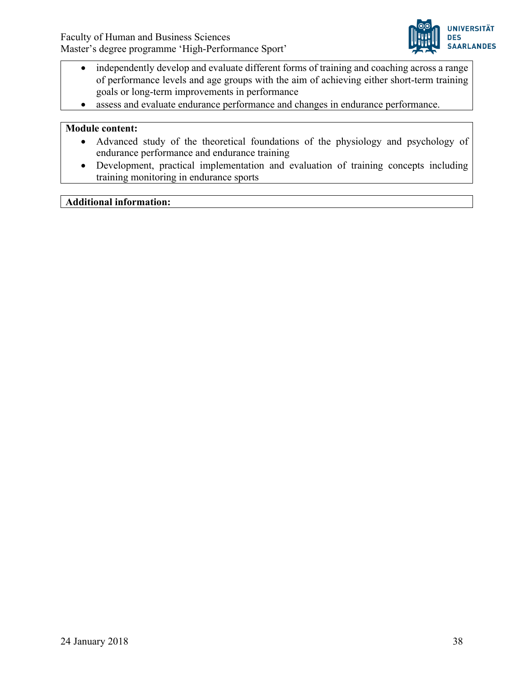

- independently develop and evaluate different forms of training and coaching across a range of performance levels and age groups with the aim of achieving either short-term training goals or long-term improvements in performance
- assess and evaluate endurance performance and changes in endurance performance.

#### **Module content:**

- Advanced study of the theoretical foundations of the physiology and psychology of endurance performance and endurance training
- Development, practical implementation and evaluation of training concepts including training monitoring in endurance sports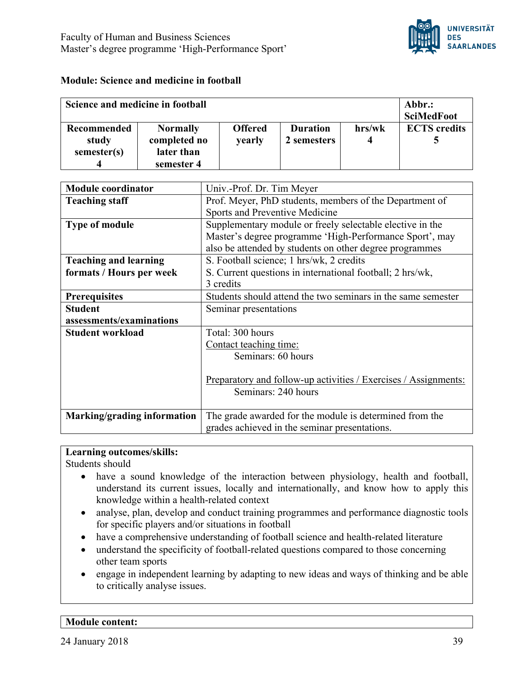

## **Module: Science and medicine in football**

| Science and medicine in football           |                                                             |                          |                                |             | Abbr.:<br><b>SciMedFoot</b> |
|--------------------------------------------|-------------------------------------------------------------|--------------------------|--------------------------------|-------------|-----------------------------|
| <b>Recommended</b><br>study<br>semester(s) | <b>Normally</b><br>completed no<br>later than<br>semester 4 | <b>Offered</b><br>yearly | <b>Duration</b><br>2 semesters | hrs/wk<br>4 | <b>ECTS</b> credits         |

| <b>Module coordinator</b>    | Univ.-Prof. Dr. Tim Meyer                                              |  |  |
|------------------------------|------------------------------------------------------------------------|--|--|
| <b>Teaching staff</b>        | Prof. Meyer, PhD students, members of the Department of                |  |  |
|                              | Sports and Preventive Medicine                                         |  |  |
| <b>Type of module</b>        | Supplementary module or freely selectable elective in the              |  |  |
|                              | Master's degree programme 'High-Performance Sport', may                |  |  |
|                              | also be attended by students on other degree programmes                |  |  |
| <b>Teaching and learning</b> | S. Football science; 1 hrs/wk, 2 credits                               |  |  |
| formats / Hours per week     | S. Current questions in international football; 2 hrs/wk,              |  |  |
|                              | 3 credits                                                              |  |  |
| <b>Prerequisites</b>         | Students should attend the two seminars in the same semester           |  |  |
| <b>Student</b>               | Seminar presentations                                                  |  |  |
| assessments/examinations     |                                                                        |  |  |
| <b>Student workload</b>      | Total: 300 hours                                                       |  |  |
|                              | Contact teaching time:                                                 |  |  |
|                              | Seminars: 60 hours                                                     |  |  |
|                              |                                                                        |  |  |
|                              | <u>Preparatory and follow-up activities / Exercises / Assignments:</u> |  |  |
|                              | Seminars: 240 hours                                                    |  |  |
|                              |                                                                        |  |  |
| Marking/grading information  | The grade awarded for the module is determined from the                |  |  |
|                              | grades achieved in the seminar presentations.                          |  |  |

#### **Learning outcomes/skills:**

Students should

- have a sound knowledge of the interaction between physiology, health and football, understand its current issues, locally and internationally, and know how to apply this knowledge within a health-related context
- analyse, plan, develop and conduct training programmes and performance diagnostic tools for specific players and/or situations in football
- have a comprehensive understanding of football science and health-related literature
- understand the specificity of football-related questions compared to those concerning other team sports
- engage in independent learning by adapting to new ideas and ways of thinking and be able to critically analyse issues.

## **Module content:**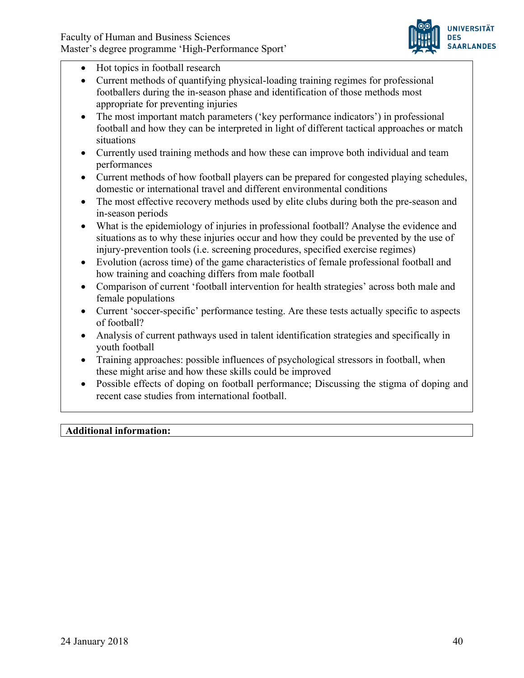

- Hot topics in football research
- Current methods of quantifying physical-loading training regimes for professional footballers during the in-season phase and identification of those methods most appropriate for preventing injuries
- The most important match parameters ('key performance indicators') in professional football and how they can be interpreted in light of different tactical approaches or match situations
- Currently used training methods and how these can improve both individual and team performances
- Current methods of how football players can be prepared for congested playing schedules, domestic or international travel and different environmental conditions
- The most effective recovery methods used by elite clubs during both the pre-season and in-season periods
- What is the epidemiology of injuries in professional football? Analyse the evidence and situations as to why these injuries occur and how they could be prevented by the use of injury-prevention tools (i.e. screening procedures, specified exercise regimes)
- Evolution (across time) of the game characteristics of female professional football and how training and coaching differs from male football
- Comparison of current 'football intervention for health strategies' across both male and female populations
- Current 'soccer-specific' performance testing. Are these tests actually specific to aspects of football?
- Analysis of current pathways used in talent identification strategies and specifically in youth football
- Training approaches: possible influences of psychological stressors in football, when these might arise and how these skills could be improved
- Possible effects of doping on football performance; Discussing the stigma of doping and recent case studies from international football.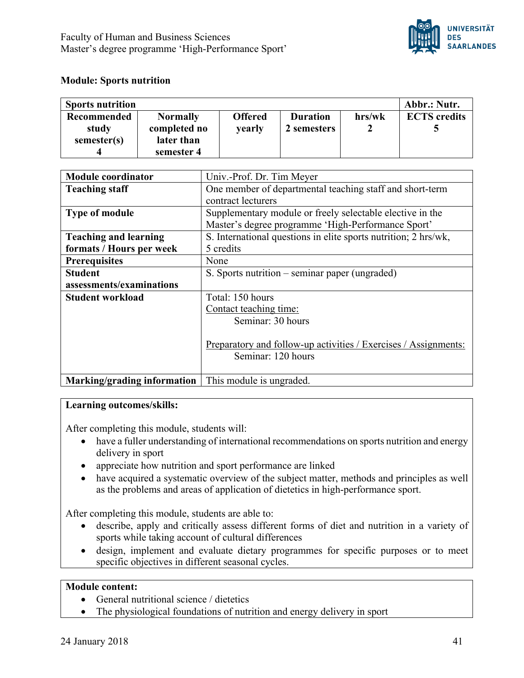

## **Module: Sports nutrition**

| <b>Sports nutrition</b> |                 |                |                 |        | Abbr.: Nutr.        |
|-------------------------|-----------------|----------------|-----------------|--------|---------------------|
| Recommended             | <b>Normally</b> | <b>Offered</b> | <b>Duration</b> | hrs/wk | <b>ECTS</b> credits |
| study                   | completed no    | <b>vearly</b>  | 2 semesters     |        |                     |
| semester(s)             | later than      |                |                 |        |                     |
|                         | semester 4      |                |                 |        |                     |

| <b>Module coordinator</b>    | Univ.-Prof. Dr. Tim Meyer                                              |
|------------------------------|------------------------------------------------------------------------|
| <b>Teaching staff</b>        | One member of departmental teaching staff and short-term               |
|                              | contract lecturers                                                     |
| <b>Type of module</b>        | Supplementary module or freely selectable elective in the              |
|                              | Master's degree programme 'High-Performance Sport'                     |
| <b>Teaching and learning</b> | S. International questions in elite sports nutrition; 2 hrs/wk,        |
| formats / Hours per week     | 5 credits                                                              |
| Prerequisites                | None                                                                   |
| <b>Student</b>               | S. Sports nutrition – seminar paper (ungraded)                         |
| assessments/examinations     |                                                                        |
| <b>Student workload</b>      | Total: 150 hours                                                       |
|                              | Contact teaching time:                                                 |
|                              | Seminar: 30 hours                                                      |
|                              |                                                                        |
|                              | <u>Preparatory and follow-up activities / Exercises / Assignments:</u> |
|                              | Seminar: 120 hours                                                     |
|                              |                                                                        |
| Marking/grading information  | This module is ungraded.                                               |

#### **Learning outcomes/skills:**

After completing this module, students will:

- have a fuller understanding of international recommendations on sports nutrition and energy delivery in sport
- appreciate how nutrition and sport performance are linked
- have acquired a systematic overview of the subject matter, methods and principles as well as the problems and areas of application of dietetics in high-performance sport.

After completing this module, students are able to:

- describe, apply and critically assess different forms of diet and nutrition in a variety of sports while taking account of cultural differences
- design, implement and evaluate dietary programmes for specific purposes or to meet specific objectives in different seasonal cycles.

## **Module content:**

- General nutritional science / dietetics
- The physiological foundations of nutrition and energy delivery in sport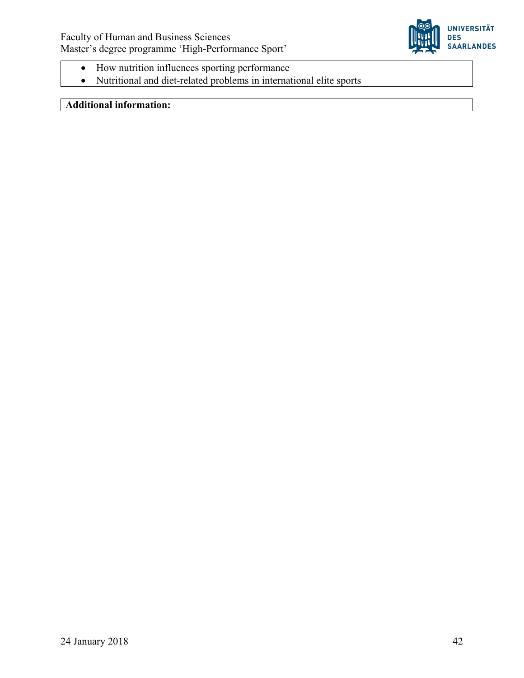

- How nutrition influences sporting performance
- Nutritional and diet-related problems in international elite sports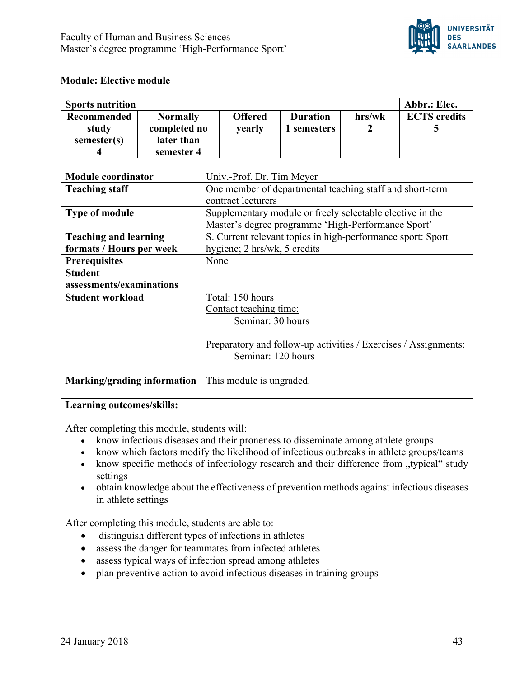

## **Module: Elective module**

| <b>Sports nutrition</b> |                 |                |                 |        | Abbr.: Elec.        |
|-------------------------|-----------------|----------------|-----------------|--------|---------------------|
| Recommended             | <b>Normally</b> | <b>Offered</b> | <b>Duration</b> | hrs/wk | <b>ECTS</b> credits |
| study                   | completed no    | yearly         | semesters       |        |                     |
| semester(s)             | later than      |                |                 |        |                     |
|                         | semester 4      |                |                 |        |                     |

| <b>Module coordinator</b>    | Univ.-Prof. Dr. Tim Meyer                                       |
|------------------------------|-----------------------------------------------------------------|
| <b>Teaching staff</b>        | One member of departmental teaching staff and short-term        |
|                              | contract lecturers                                              |
| <b>Type of module</b>        | Supplementary module or freely selectable elective in the       |
|                              | Master's degree programme 'High-Performance Sport'              |
| <b>Teaching and learning</b> | S. Current relevant topics in high-performance sport: Sport     |
| formats / Hours per week     | hygiene; 2 hrs/wk, 5 credits                                    |
| <b>Prerequisites</b>         | None                                                            |
| <b>Student</b>               |                                                                 |
| assessments/examinations     |                                                                 |
| <b>Student workload</b>      | Total: 150 hours                                                |
|                              | Contact teaching time:                                          |
|                              | Seminar: 30 hours                                               |
|                              |                                                                 |
|                              | Preparatory and follow-up activities / Exercises / Assignments: |
|                              | Seminar: 120 hours                                              |
|                              |                                                                 |
| Marking/grading information  | This module is ungraded.                                        |

#### **Learning outcomes/skills:**

After completing this module, students will:

- know infectious diseases and their proneness to disseminate among athlete groups
- know which factors modify the likelihood of infectious outbreaks in athlete groups/teams
- know specific methods of infectiology research and their difference from "typical" study settings
- obtain knowledge about the effectiveness of prevention methods against infectious diseases in athlete settings

After completing this module, students are able to:

- distinguish different types of infections in athletes
- assess the danger for teammates from infected athletes
- assess typical ways of infection spread among athletes
- plan preventive action to avoid infectious diseases in training groups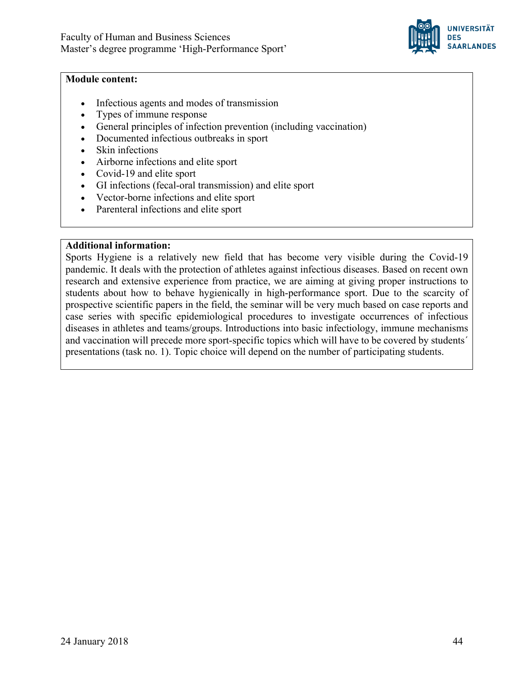

#### **Module content:**

- Infectious agents and modes of transmission
- Types of immune response
- General principles of infection prevention (including vaccination)
- Documented infectious outbreaks in sport
- Skin infections
- Airborne infections and elite sport
- Covid-19 and elite sport
- GI infections (fecal-oral transmission) and elite sport
- Vector-borne infections and elite sport
- Parenteral infections and elite sport

#### **Additional information:**

Sports Hygiene is a relatively new field that has become very visible during the Covid-19 pandemic. It deals with the protection of athletes against infectious diseases. Based on recent own research and extensive experience from practice, we are aiming at giving proper instructions to students about how to behave hygienically in high-performance sport. Due to the scarcity of prospective scientific papers in the field, the seminar will be very much based on case reports and case series with specific epidemiological procedures to investigate occurrences of infectious diseases in athletes and teams/groups. Introductions into basic infectiology, immune mechanisms and vaccination will precede more sport-specific topics which will have to be covered by students´ presentations (task no. 1). Topic choice will depend on the number of participating students.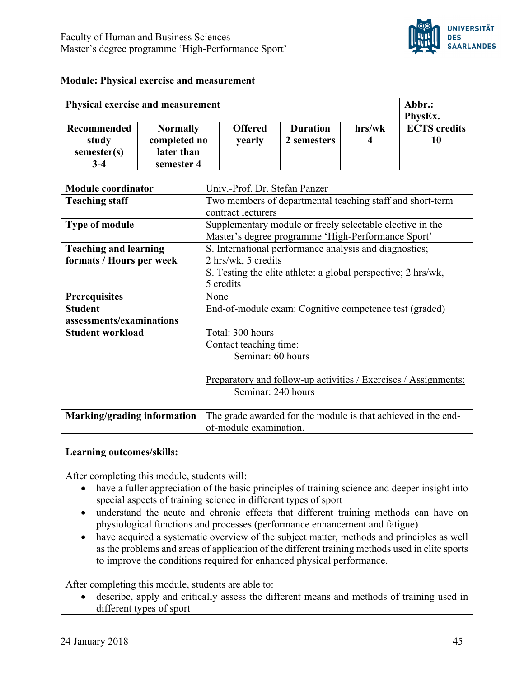

#### **Module: Physical exercise and measurement**

| <b>Physical exercise and measurement</b> |                 |                |                 | Abbr.: |                     |
|------------------------------------------|-----------------|----------------|-----------------|--------|---------------------|
|                                          |                 |                |                 |        | PhysEx.             |
| <b>Recommended</b>                       | <b>Normally</b> | <b>Offered</b> | <b>Duration</b> | hrs/wk | <b>ECTS</b> credits |
| study                                    | completed no    | yearly         | 2 semesters     | 4      | 10                  |
| semester(s)                              | later than      |                |                 |        |                     |
| $3-4$                                    | semester 4      |                |                 |        |                     |

| <b>Module coordinator</b>                                | Univ.-Prof. Dr. Stefan Panzer                                                                                                                               |
|----------------------------------------------------------|-------------------------------------------------------------------------------------------------------------------------------------------------------------|
| <b>Teaching staff</b>                                    | Two members of departmental teaching staff and short-term<br>contract lecturers                                                                             |
| <b>Type of module</b>                                    | Supplementary module or freely selectable elective in the<br>Master's degree programme 'High-Performance Sport'                                             |
| <b>Teaching and learning</b><br>formats / Hours per week | S. International performance analysis and diagnostics;<br>2 hrs/wk, 5 credits<br>S. Testing the elite athlete: a global perspective; 2 hrs/wk,<br>5 credits |
| <b>Prerequisites</b>                                     | None                                                                                                                                                        |
| <b>Student</b>                                           | End-of-module exam: Cognitive competence test (graded)                                                                                                      |
| assessments/examinations                                 |                                                                                                                                                             |
| <b>Student workload</b>                                  | Total: 300 hours                                                                                                                                            |
|                                                          | Contact teaching time:                                                                                                                                      |
|                                                          | Seminar: 60 hours                                                                                                                                           |
|                                                          | <u>Preparatory and follow-up activities / Exercises / Assignments:</u><br>Seminar: 240 hours                                                                |
| Marking/grading information                              | The grade awarded for the module is that achieved in the end-                                                                                               |
|                                                          | of-module examination.                                                                                                                                      |

#### **Learning outcomes/skills:**

After completing this module, students will:

- have a fuller appreciation of the basic principles of training science and deeper insight into special aspects of training science in different types of sport
- understand the acute and chronic effects that different training methods can have on physiological functions and processes (performance enhancement and fatigue)
- have acquired a systematic overview of the subject matter, methods and principles as well as the problems and areas of application of the different training methods used in elite sports to improve the conditions required for enhanced physical performance.

After completing this module, students are able to:

• describe, apply and critically assess the different means and methods of training used in different types of sport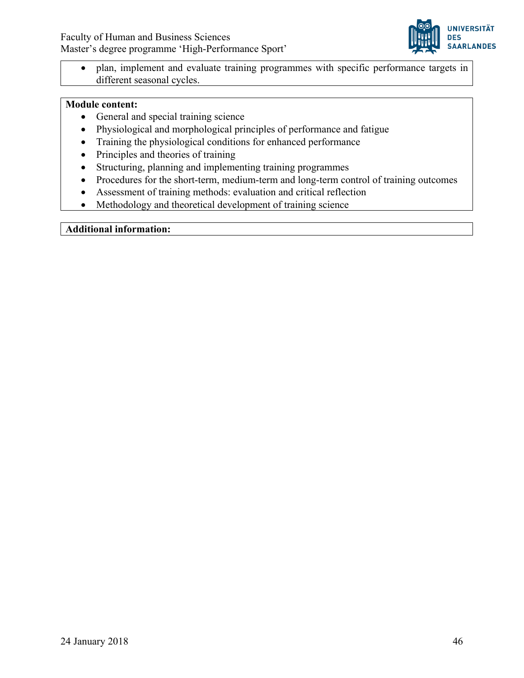

• plan, implement and evaluate training programmes with specific performance targets in different seasonal cycles.

# **Module content:**

- General and special training science
- Physiological and morphological principles of performance and fatigue
- Training the physiological conditions for enhanced performance
- Principles and theories of training
- Structuring, planning and implementing training programmes
- Procedures for the short-term, medium-term and long-term control of training outcomes
- Assessment of training methods: evaluation and critical reflection
- Methodology and theoretical development of training science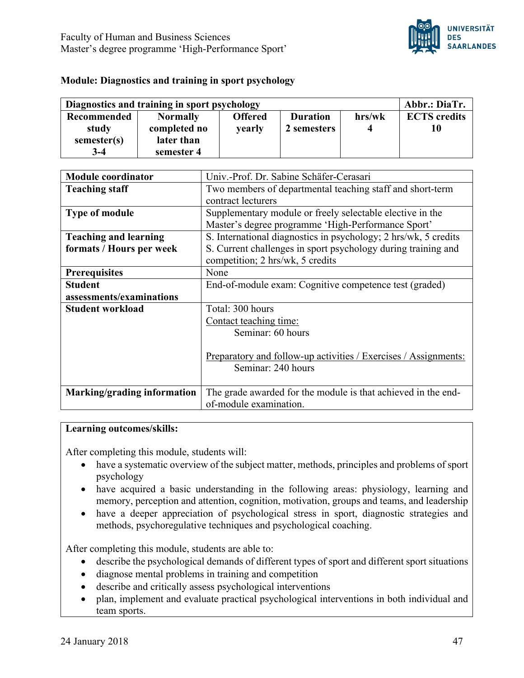

#### **Module: Diagnostics and training in sport psychology**

| Diagnostics and training in sport psychology |                 |                |                 | Abbr.: DiaTr. |                     |
|----------------------------------------------|-----------------|----------------|-----------------|---------------|---------------------|
| <b>Recommended</b>                           | <b>Normally</b> | <b>Offered</b> | <b>Duration</b> | hrs/wk        | <b>ECTS</b> credits |
| study                                        | completed no    | <b>vearly</b>  | 2 semesters     |               | 10                  |
| semester(s)                                  | later than      |                |                 |               |                     |
| $3-4$                                        | semester 4      |                |                 |               |                     |

| <b>Module coordinator</b>    | Univ.-Prof. Dr. Sabine Schäfer-Cerasari                         |  |  |
|------------------------------|-----------------------------------------------------------------|--|--|
| <b>Teaching staff</b>        | Two members of departmental teaching staff and short-term       |  |  |
|                              | contract lecturers                                              |  |  |
| <b>Type of module</b>        | Supplementary module or freely selectable elective in the       |  |  |
|                              | Master's degree programme 'High-Performance Sport'              |  |  |
| <b>Teaching and learning</b> | S. International diagnostics in psychology; 2 hrs/wk, 5 credits |  |  |
| formats / Hours per week     | S. Current challenges in sport psychology during training and   |  |  |
|                              | competition; 2 hrs/wk, 5 credits                                |  |  |
| <b>Prerequisites</b>         | None                                                            |  |  |
| <b>Student</b>               | End-of-module exam: Cognitive competence test (graded)          |  |  |
| assessments/examinations     |                                                                 |  |  |
| <b>Student workload</b>      | Total: 300 hours                                                |  |  |
|                              | Contact teaching time:                                          |  |  |
|                              | Seminar: 60 hours                                               |  |  |
|                              |                                                                 |  |  |
|                              | Preparatory and follow-up activities / Exercises / Assignments: |  |  |
|                              | Seminar: 240 hours                                              |  |  |
|                              |                                                                 |  |  |
| Marking/grading information  | The grade awarded for the module is that achieved in the end-   |  |  |
|                              | of-module examination.                                          |  |  |

#### **Learning outcomes/skills:**

After completing this module, students will:

- have a systematic overview of the subject matter, methods, principles and problems of sport psychology
- have acquired a basic understanding in the following areas: physiology, learning and memory, perception and attention, cognition, motivation, groups and teams, and leadership
- have a deeper appreciation of psychological stress in sport, diagnostic strategies and methods, psychoregulative techniques and psychological coaching.

After completing this module, students are able to:

- describe the psychological demands of different types of sport and different sport situations
- diagnose mental problems in training and competition
- describe and critically assess psychological interventions
- plan, implement and evaluate practical psychological interventions in both individual and team sports.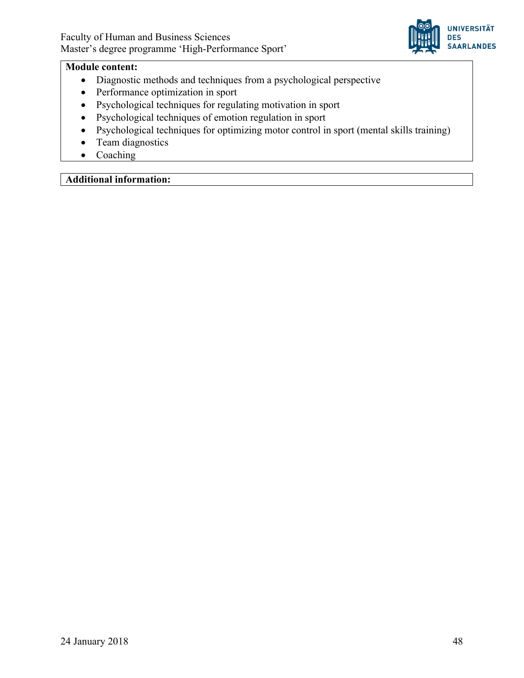

#### **Module content:**

- Diagnostic methods and techniques from a psychological perspective
- Performance optimization in sport
- Psychological techniques for regulating motivation in sport
- Psychological techniques of emotion regulation in sport
- Psychological techniques for optimizing motor control in sport (mental skills training)
- Team diagnostics
- Coaching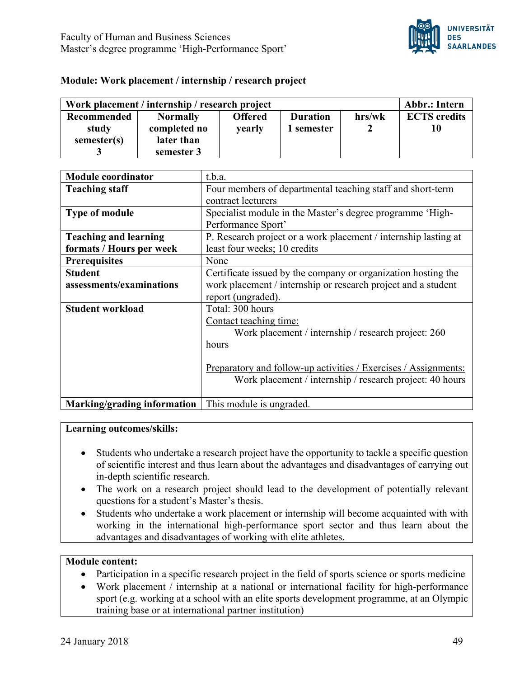

## **Module: Work placement / internship / research project**

| Work placement / internship / research project |                 |                |                 | Abbr.: Intern |                     |
|------------------------------------------------|-----------------|----------------|-----------------|---------------|---------------------|
| Recommended                                    | <b>Normally</b> | <b>Offered</b> | <b>Duration</b> | hrs/wk        | <b>ECTS</b> credits |
| study                                          | completed no    | yearly         | 1 semester      |               |                     |
| semester(s)                                    | later than      |                |                 |               |                     |
|                                                | semester 3      |                |                 |               |                     |

| <b>Module coordinator</b>    | t.b.a.                                                          |
|------------------------------|-----------------------------------------------------------------|
| <b>Teaching staff</b>        | Four members of departmental teaching staff and short-term      |
|                              | contract lecturers                                              |
| <b>Type of module</b>        | Specialist module in the Master's degree programme 'High-       |
|                              | Performance Sport'                                              |
| <b>Teaching and learning</b> | P. Research project or a work placement / internship lasting at |
| formats / Hours per week     | least four weeks; 10 credits                                    |
| <b>Prerequisites</b>         | None                                                            |
| <b>Student</b>               | Certificate issued by the company or organization hosting the   |
| assessments/examinations     | work placement / internship or research project and a student   |
|                              | report (ungraded).                                              |
| <b>Student workload</b>      | Total: 300 hours                                                |
|                              | Contact teaching time:                                          |
|                              | Work placement / internship / research project: 260             |
|                              | hours                                                           |
|                              |                                                                 |
|                              | Preparatory and follow-up activities / Exercises / Assignments: |
|                              | Work placement / internship / research project: 40 hours        |
|                              |                                                                 |
| Marking/grading information  | This module is ungraded.                                        |

#### **Learning outcomes/skills:**

- Students who undertake a research project have the opportunity to tackle a specific question of scientific interest and thus learn about the advantages and disadvantages of carrying out in-depth scientific research.
- The work on a research project should lead to the development of potentially relevant questions for a student's Master's thesis.
- Students who undertake a work placement or internship will become acquainted with with working in the international high-performance sport sector and thus learn about the advantages and disadvantages of working with elite athletes.

#### **Module content:**

- Participation in a specific research project in the field of sports science or sports medicine
- Work placement / internship at a national or international facility for high-performance sport (e.g. working at a school with an elite sports development programme, at an Olympic training base or at international partner institution)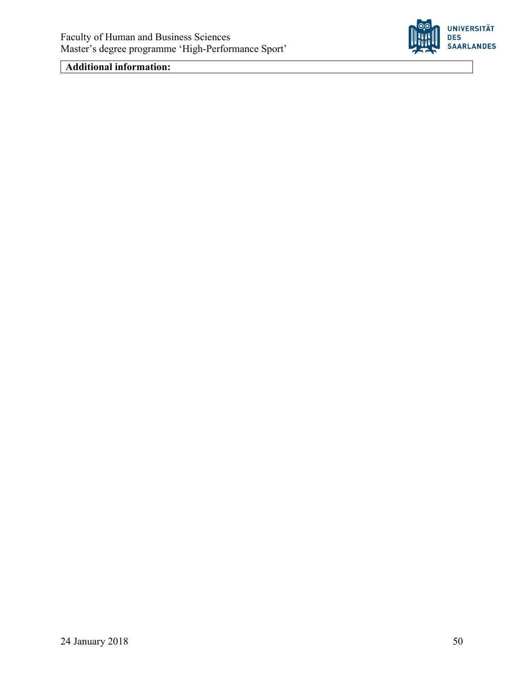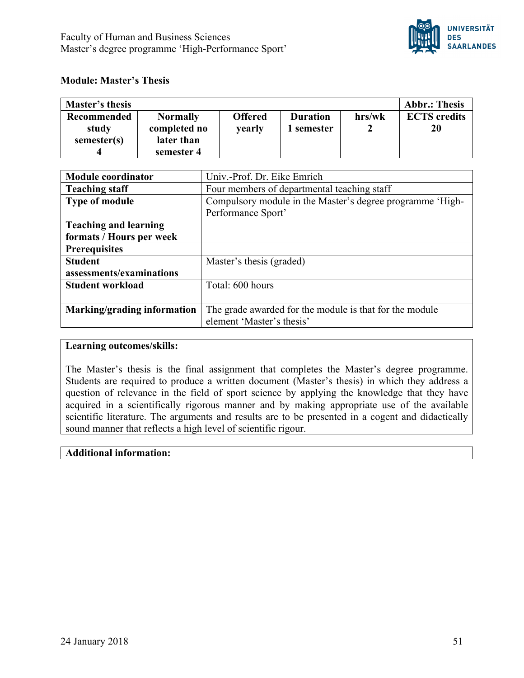

## **Module: Master's Thesis**

| <b>Master's thesis</b> |                 |                |                 |        | <b>Abbr.: Thesis</b> |
|------------------------|-----------------|----------------|-----------------|--------|----------------------|
| <b>Recommended</b>     | <b>Normally</b> | <b>Offered</b> | <b>Duration</b> | hrs/wk | <b>ECTS</b> credits  |
| study                  | completed no    | yearly         | l semester      |        | 20                   |
| semester(s)            | later than      |                |                 |        |                      |
|                        | semester 4      |                |                 |        |                      |

| <b>Module coordinator</b>    | Univ.-Prof. Dr. Eike Emrich                               |  |  |
|------------------------------|-----------------------------------------------------------|--|--|
| <b>Teaching staff</b>        | Four members of departmental teaching staff               |  |  |
| <b>Type of module</b>        | Compulsory module in the Master's degree programme 'High- |  |  |
|                              | Performance Sport'                                        |  |  |
| <b>Teaching and learning</b> |                                                           |  |  |
| formats / Hours per week     |                                                           |  |  |
| <b>Prerequisites</b>         |                                                           |  |  |
| <b>Student</b>               | Master's thesis (graded)                                  |  |  |
| assessments/examinations     |                                                           |  |  |
| <b>Student workload</b>      | Total: 600 hours                                          |  |  |
|                              |                                                           |  |  |
| Marking/grading information  | The grade awarded for the module is that for the module   |  |  |
|                              | element 'Master's thesis'                                 |  |  |

#### **Learning outcomes/skills:**

The Master's thesis is the final assignment that completes the Master's degree programme. Students are required to produce a written document (Master's thesis) in which they address a question of relevance in the field of sport science by applying the knowledge that they have acquired in a scientifically rigorous manner and by making appropriate use of the available scientific literature. The arguments and results are to be presented in a cogent and didactically sound manner that reflects a high level of scientific rigour.